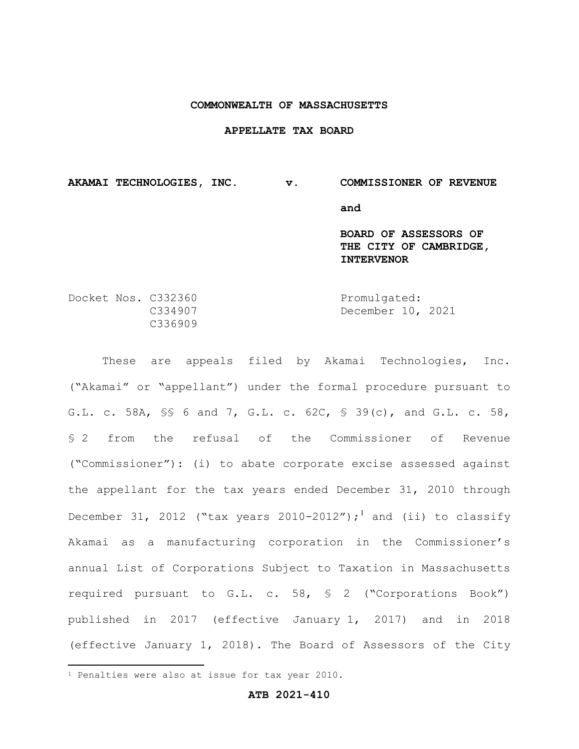#### **COMMONWEALTH OF MASSACHUSETTS**

#### **APPELLATE TAX BOARD**

**AKAMAI TECHNOLOGIES, INC. v. COMMISSIONER OF REVENUE and BOARD OF ASSESSORS OF THE CITY OF CAMBRIDGE, INTERVENOR**

Docket Nos. C332360 Promulgated:<br>C334907 December 10, December 10, 2021 C336909

These are appeals filed by Akamai Technologies, Inc. ("Akamai" or "appellant") under the formal procedure pursuant to G.L. c. 58A, §§ 6 and 7, G.L. c. 62C, § 39(c), and G.L. c. 58, § 2 from the refusal of the Commissioner of Revenue ("Commissioner"): (i) to abate corporate excise assessed against the appellant for the tax years ended December 31, 2010 through December 31, 2012 ("tax years 2010-2012");<sup>1</sup> and (ii) to classify Akamai as a manufacturing corporation in the Commissioner's annual List of Corporations Subject to Taxation in Massachusetts required pursuant to G.L. c. 58, § 2 ("Corporations Book") published in 2017 (effective January 1, 2017) and in 2018 (effective January 1, 2018). The Board of Assessors of the City

**ATB 2021-410**

<sup>&</sup>lt;sup>1</sup> Penalties were also at issue for tax year 2010.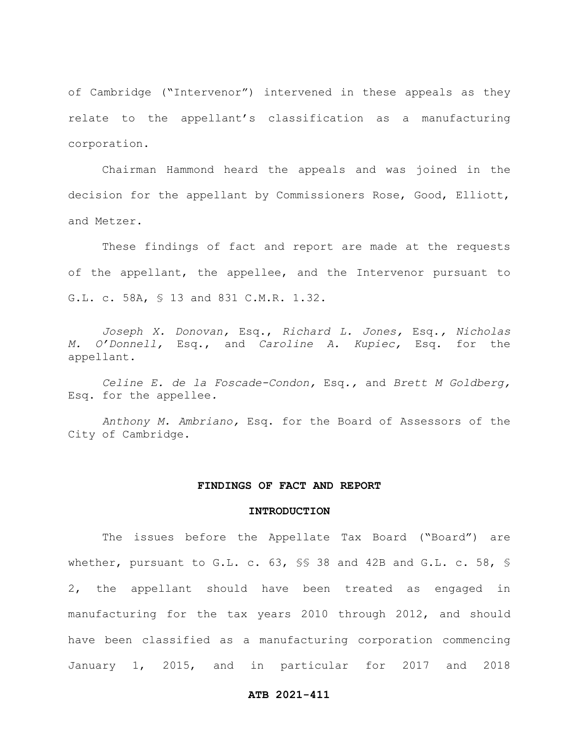of Cambridge ("Intervenor") intervened in these appeals as they relate to the appellant's classification as a manufacturing corporation.

Chairman Hammond heard the appeals and was joined in the decision for the appellant by Commissioners Rose, Good, Elliott, and Metzer.

These findings of fact and report are made at the requests of the appellant, the appellee, and the Intervenor pursuant to G.L. c. 58A, § 13 and 831 C.M.R. 1.32.

*Joseph X. Donovan,* Esq., *Richard L. Jones,* Esq.*, Nicholas M. O'Donnell,* Esq., and *Caroline A. Kupiec,* Esq. for the appellant.

*Celine E. de la Foscade-Condon,* Esq*.,* and *Brett M Goldberg,*  Esq. for the appellee*.*

*Anthony M. Ambriano,* Esq. for the Board of Assessors of the City of Cambridge.

#### **FINDINGS OF FACT AND REPORT**

#### **INTRODUCTION**

The issues before the Appellate Tax Board ("Board") are whether, pursuant to G.L. c. 63, §§ 38 and 42B and G.L. c. 58, § 2, the appellant should have been treated as engaged in manufacturing for the tax years 2010 through 2012, and should have been classified as a manufacturing corporation commencing January 1, 2015, and in particular for 2017 and 2018

### **ATB 2021-411**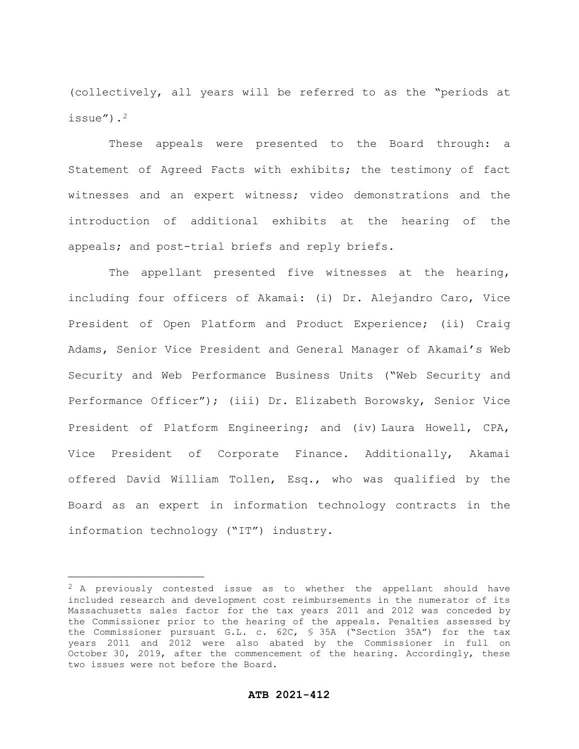(collectively, all years will be referred to as the "periods at issue").2

These appeals were presented to the Board through: a Statement of Agreed Facts with exhibits; the testimony of fact witnesses and an expert witness; video demonstrations and the introduction of additional exhibits at the hearing of the appeals; and post-trial briefs and reply briefs.

The appellant presented five witnesses at the hearing, including four officers of Akamai: (i) Dr. Alejandro Caro, Vice President of Open Platform and Product Experience; (ii) Craig Adams, Senior Vice President and General Manager of Akamai's Web Security and Web Performance Business Units ("Web Security and Performance Officer"); (iii) Dr. Elizabeth Borowsky, Senior Vice President of Platform Engineering; and (iv) Laura Howell, CPA, Vice President of Corporate Finance. Additionally, Akamai offered David William Tollen, Esq., who was qualified by the Board as an expert in information technology contracts in the information technology ("IT") industry.

 $2$  A previously contested issue as to whether the appellant should have included research and development cost reimbursements in the numerator of its Massachusetts sales factor for the tax years 2011 and 2012 was conceded by the Commissioner prior to the hearing of the appeals. Penalties assessed by the Commissioner pursuant G.L. c. 62C, § 35A ("Section 35A") for the tax years 2011 and 2012 were also abated by the Commissioner in full on October 30, 2019, after the commencement of the hearing. Accordingly, these two issues were not before the Board.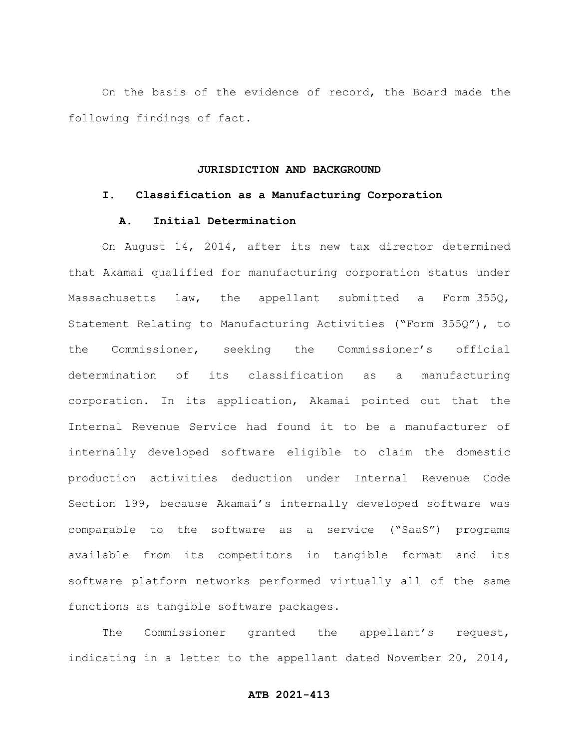On the basis of the evidence of record, the Board made the following findings of fact.

# **JURISDICTION AND BACKGROUND**

#### **I. Classification as a Manufacturing Corporation**

# **A. Initial Determination**

On August 14, 2014, after its new tax director determined that Akamai qualified for manufacturing corporation status under Massachusetts law, the appellant submitted a Form 355Q, Statement Relating to Manufacturing Activities ("Form 355Q"), to the Commissioner, seeking the Commissioner's official determination of its classification as a manufacturing corporation. In its application, Akamai pointed out that the Internal Revenue Service had found it to be a manufacturer of internally developed software eligible to claim the domestic production activities deduction under Internal Revenue Code Section 199, because Akamai's internally developed software was comparable to the software as a service ("SaaS") programs available from its competitors in tangible format and its software platform networks performed virtually all of the same functions as tangible software packages.

The Commissioner granted the appellant's request, indicating in a letter to the appellant dated November 20, 2014,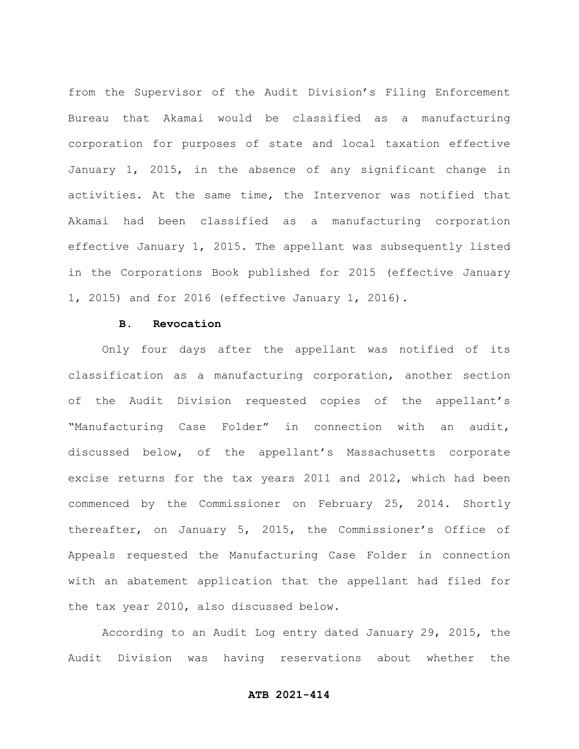from the Supervisor of the Audit Division's Filing Enforcement Bureau that Akamai would be classified as a manufacturing corporation for purposes of state and local taxation effective January 1, 2015, in the absence of any significant change in activities. At the same time, the Intervenor was notified that Akamai had been classified as a manufacturing corporation effective January 1, 2015. The appellant was subsequently listed in the Corporations Book published for 2015 (effective January 1, 2015) and for 2016 (effective January 1, 2016).

# **B. Revocation**

Only four days after the appellant was notified of its classification as a manufacturing corporation, another section of the Audit Division requested copies of the appellant's "Manufacturing Case Folder" in connection with an audit, discussed below, of the appellant's Massachusetts corporate excise returns for the tax years 2011 and 2012, which had been commenced by the Commissioner on February 25, 2014. Shortly thereafter, on January 5, 2015, the Commissioner's Office of Appeals requested the Manufacturing Case Folder in connection with an abatement application that the appellant had filed for the tax year 2010, also discussed below.

According to an Audit Log entry dated January 29, 2015, the Audit Division was having reservations about whether the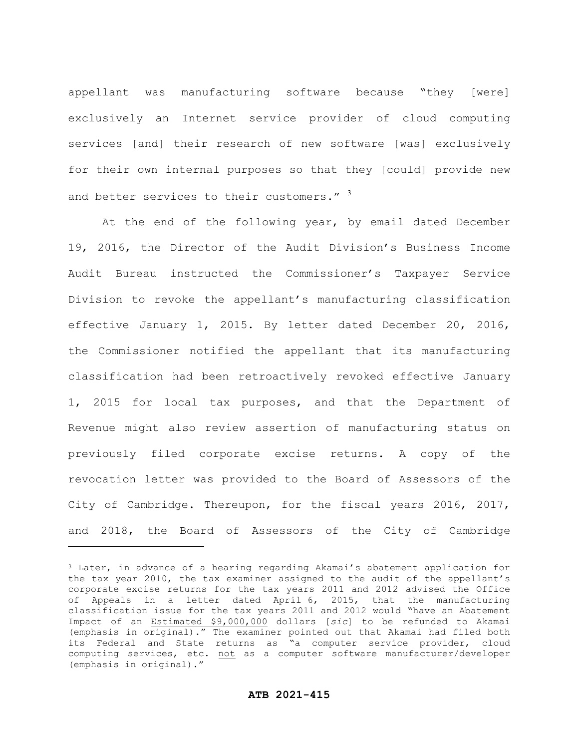appellant was manufacturing software because "they [were] exclusively an Internet service provider of cloud computing services [and] their research of new software [was] exclusively for their own internal purposes so that they [could] provide new and better services to their customers." 3

At the end of the following year, by email dated December 19, 2016, the Director of the Audit Division's Business Income Audit Bureau instructed the Commissioner's Taxpayer Service Division to revoke the appellant's manufacturing classification effective January 1, 2015. By letter dated December 20, 2016, the Commissioner notified the appellant that its manufacturing classification had been retroactively revoked effective January 1, 2015 for local tax purposes, and that the Department of Revenue might also review assertion of manufacturing status on previously filed corporate excise returns. A copy of the revocation letter was provided to the Board of Assessors of the City of Cambridge. Thereupon, for the fiscal years 2016, 2017, and 2018, the Board of Assessors of the City of Cambridge

<sup>3</sup> Later, in advance of a hearing regarding Akamai's abatement application for the tax year 2010, the tax examiner assigned to the audit of the appellant's corporate excise returns for the tax years 2011 and 2012 advised the Office of Appeals in a letter dated April 6, 2015, that the manufacturing classification issue for the tax years 2011 and 2012 would "have an Abatement Impact of an Estimated \$9,000,000 dollars [*sic*] to be refunded to Akamai (emphasis in original)." The examiner pointed out that Akamai had filed both its Federal and State returns as "a computer service provider, cloud computing services, etc. not as a computer software manufacturer/developer (emphasis in original)."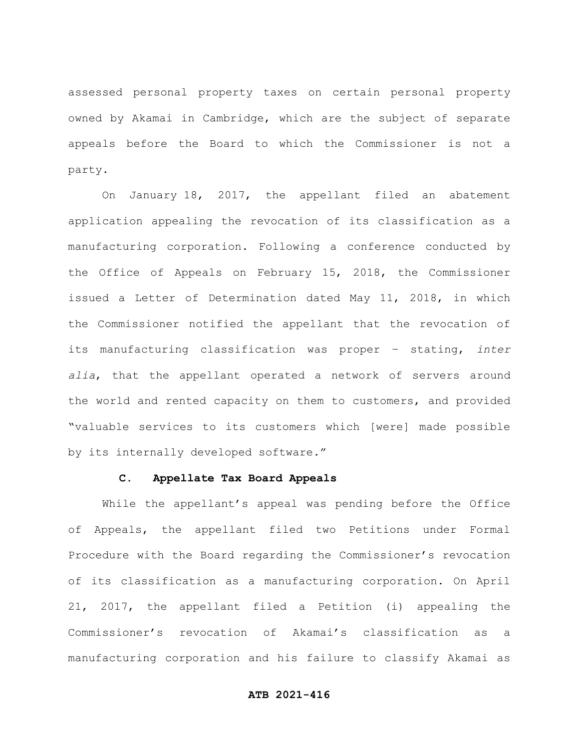assessed personal property taxes on certain personal property owned by Akamai in Cambridge, which are the subject of separate appeals before the Board to which the Commissioner is not a party.

On January 18, 2017, the appellant filed an abatement application appealing the revocation of its classification as a manufacturing corporation. Following a conference conducted by the Office of Appeals on February 15, 2018, the Commissioner issued a Letter of Determination dated May 11, 2018, in which the Commissioner notified the appellant that the revocation of its manufacturing classification was proper – stating, *inter alia*, that the appellant operated a network of servers around the world and rented capacity on them to customers, and provided "valuable services to its customers which [were] made possible by its internally developed software."

# **C. Appellate Tax Board Appeals**

While the appellant's appeal was pending before the Office of Appeals, the appellant filed two Petitions under Formal Procedure with the Board regarding the Commissioner's revocation of its classification as a manufacturing corporation. On April 21, 2017, the appellant filed a Petition (i) appealing the Commissioner's revocation of Akamai's classification as a manufacturing corporation and his failure to classify Akamai as

# **ATB 2021-416**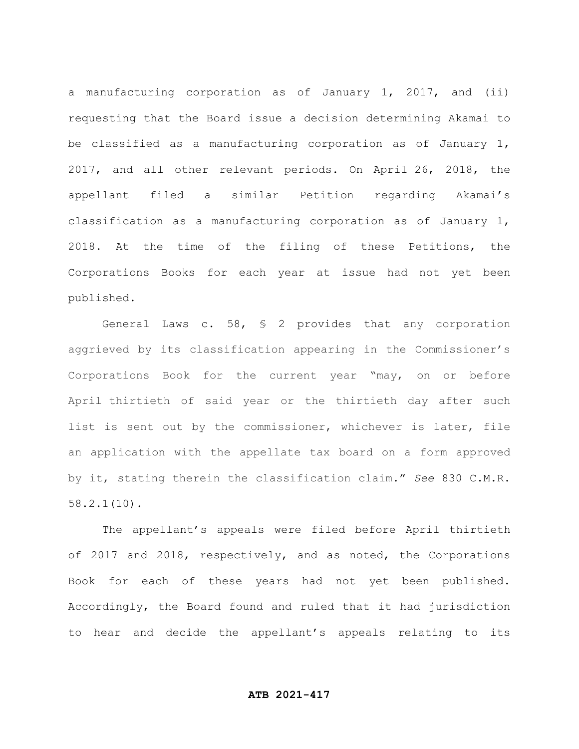a manufacturing corporation as of January 1, 2017, and (ii) requesting that the Board issue a decision determining Akamai to be classified as a manufacturing corporation as of January 1, 2017, and all other relevant periods. On April 26, 2018, the appellant filed a similar Petition regarding Akamai's classification as a manufacturing corporation as of January 1, 2018. At the time of the filing of these Petitions, the Corporations Books for each year at issue had not yet been published.

General Laws c. 58, § 2 provides that any corporation aggrieved by its classification appearing in the Commissioner's Corporations Book for the current year "may, on or before April thirtieth of said year or the thirtieth day after such list is sent out by the commissioner, whichever is later, file an application with the appellate tax board on a form approved by it, stating therein the classification claim." *See* 830 C.M.R. 58.2.1(10).

The appellant's appeals were filed before April thirtieth of 2017 and 2018, respectively, and as noted, the Corporations Book for each of these years had not yet been published. Accordingly, the Board found and ruled that it had jurisdiction to hear and decide the appellant's appeals relating to its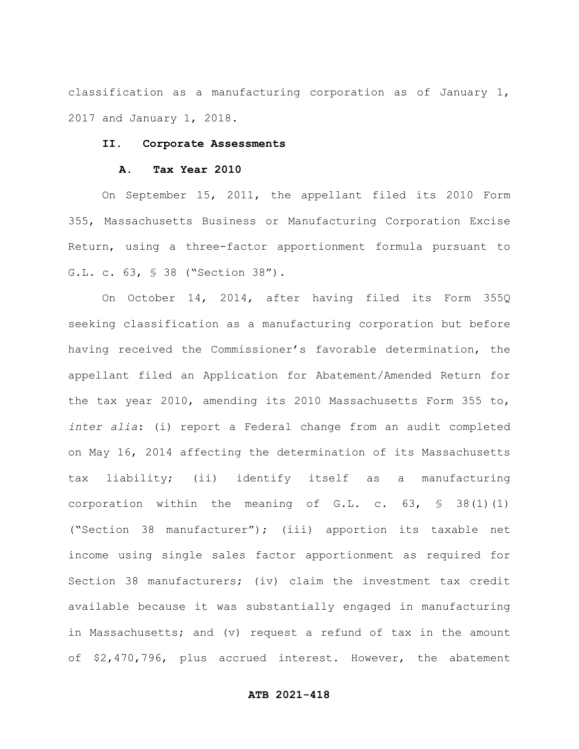classification as a manufacturing corporation as of January 1, 2017 and January 1, 2018.

# **II. Corporate Assessments**

### **A. Tax Year 2010**

On September 15, 2011, the appellant filed its 2010 Form 355, Massachusetts Business or Manufacturing Corporation Excise Return, using a three-factor apportionment formula pursuant to G.L. c. 63, § 38 ("Section 38").

On October 14, 2014, after having filed its Form 355Q seeking classification as a manufacturing corporation but before having received the Commissioner's favorable determination, the appellant filed an Application for Abatement/Amended Return for the tax year 2010, amending its 2010 Massachusetts Form 355 to, *inter alia*: (i) report a Federal change from an audit completed on May 16, 2014 affecting the determination of its Massachusetts tax liability; (ii) identify itself as a manufacturing corporation within the meaning of G.L. c. 63, § 38(1)(1) ("Section 38 manufacturer"); (iii) apportion its taxable net income using single sales factor apportionment as required for Section 38 manufacturers; (iv) claim the investment tax credit available because it was substantially engaged in manufacturing in Massachusetts; and (v) request a refund of tax in the amount of \$2,470,796, plus accrued interest. However, the abatement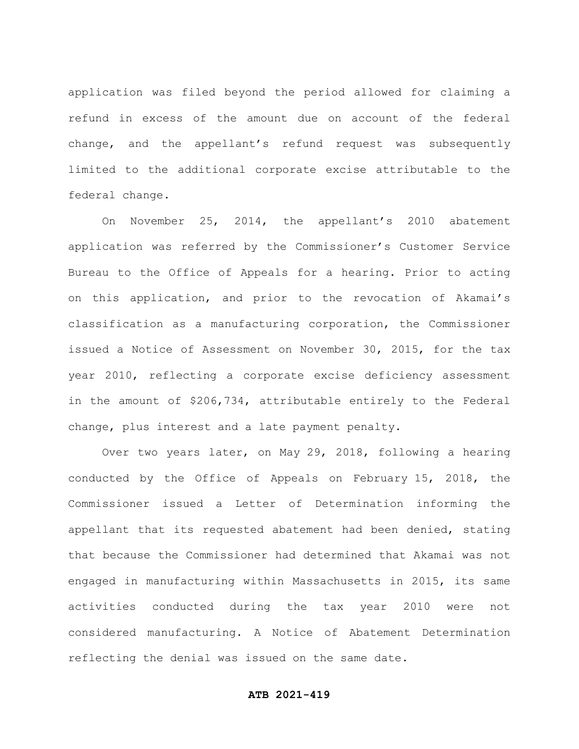application was filed beyond the period allowed for claiming a refund in excess of the amount due on account of the federal change, and the appellant's refund request was subsequently limited to the additional corporate excise attributable to the federal change.

On November 25, 2014, the appellant's 2010 abatement application was referred by the Commissioner's Customer Service Bureau to the Office of Appeals for a hearing. Prior to acting on this application, and prior to the revocation of Akamai's classification as a manufacturing corporation, the Commissioner issued a Notice of Assessment on November 30, 2015, for the tax year 2010, reflecting a corporate excise deficiency assessment in the amount of \$206,734, attributable entirely to the Federal change, plus interest and a late payment penalty.

Over two years later, on May 29, 2018, following a hearing conducted by the Office of Appeals on February 15, 2018, the Commissioner issued a Letter of Determination informing the appellant that its requested abatement had been denied, stating that because the Commissioner had determined that Akamai was not engaged in manufacturing within Massachusetts in 2015, its same activities conducted during the tax year 2010 were not considered manufacturing. A Notice of Abatement Determination reflecting the denial was issued on the same date.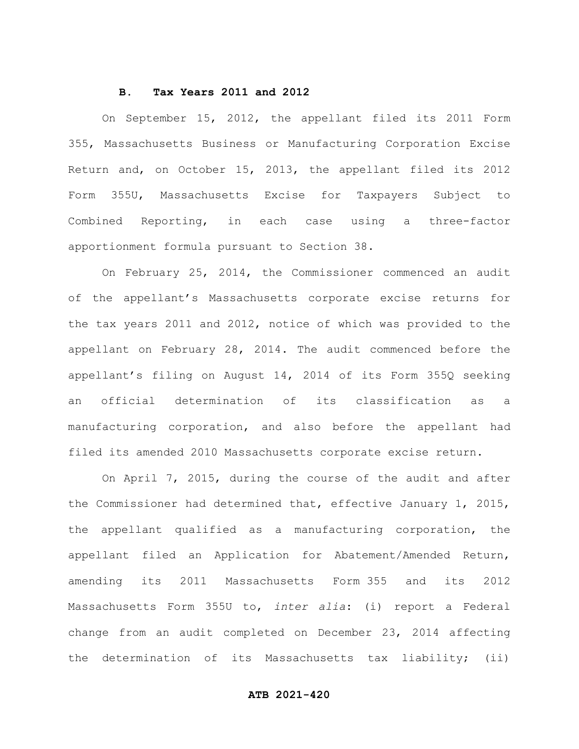#### **B. Tax Years 2011 and 2012**

On September 15, 2012, the appellant filed its 2011 Form 355, Massachusetts Business or Manufacturing Corporation Excise Return and, on October 15, 2013, the appellant filed its 2012 Form 355U, Massachusetts Excise for Taxpayers Subject to Combined Reporting, in each case using a three-factor apportionment formula pursuant to Section 38.

On February 25, 2014, the Commissioner commenced an audit of the appellant's Massachusetts corporate excise returns for the tax years 2011 and 2012, notice of which was provided to the appellant on February 28, 2014. The audit commenced before the appellant's filing on August 14, 2014 of its Form 355Q seeking an official determination of its classification as a manufacturing corporation, and also before the appellant had filed its amended 2010 Massachusetts corporate excise return.

On April 7, 2015, during the course of the audit and after the Commissioner had determined that, effective January 1, 2015, the appellant qualified as a manufacturing corporation, the appellant filed an Application for Abatement/Amended Return, amending its 2011 Massachusetts Form 355 and its 2012 Massachusetts Form 355U to, *inter alia*: (i) report a Federal change from an audit completed on December 23, 2014 affecting the determination of its Massachusetts tax liability; (ii)

# **ATB 2021-420**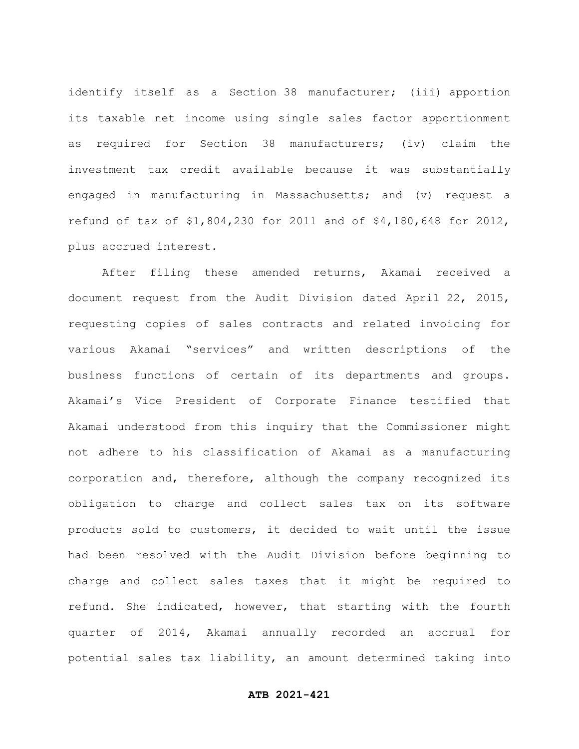identify itself as a Section 38 manufacturer; (iii) apportion its taxable net income using single sales factor apportionment as required for Section 38 manufacturers; (iv) claim the investment tax credit available because it was substantially engaged in manufacturing in Massachusetts; and (v) request a refund of tax of \$1,804,230 for 2011 and of \$4,180,648 for 2012, plus accrued interest.

After filing these amended returns, Akamai received a document request from the Audit Division dated April 22, 2015, requesting copies of sales contracts and related invoicing for various Akamai "services" and written descriptions of the business functions of certain of its departments and groups. Akamai's Vice President of Corporate Finance testified that Akamai understood from this inquiry that the Commissioner might not adhere to his classification of Akamai as a manufacturing corporation and, therefore, although the company recognized its obligation to charge and collect sales tax on its software products sold to customers, it decided to wait until the issue had been resolved with the Audit Division before beginning to charge and collect sales taxes that it might be required to refund. She indicated, however, that starting with the fourth quarter of 2014, Akamai annually recorded an accrual for potential sales tax liability, an amount determined taking into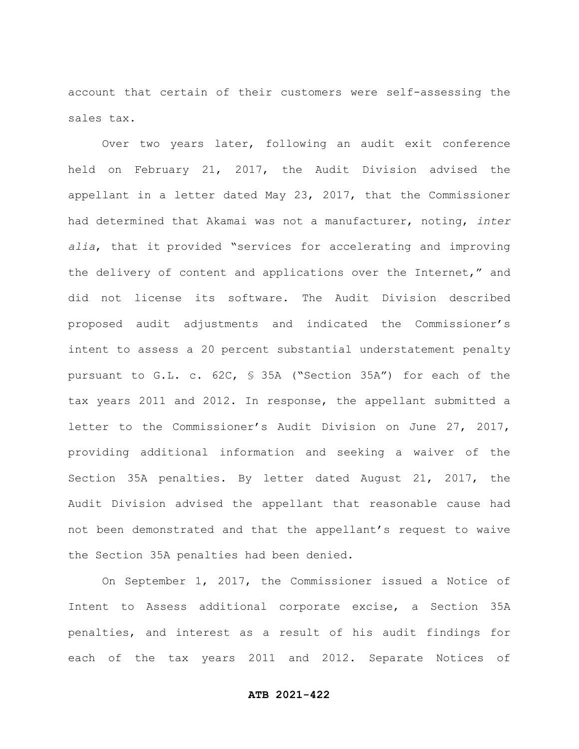account that certain of their customers were self-assessing the sales tax.

Over two years later, following an audit exit conference held on February 21, 2017, the Audit Division advised the appellant in a letter dated May 23, 2017, that the Commissioner had determined that Akamai was not a manufacturer, noting, *inter alia*, that it provided "services for accelerating and improving the delivery of content and applications over the Internet," and did not license its software. The Audit Division described proposed audit adjustments and indicated the Commissioner's intent to assess a 20 percent substantial understatement penalty pursuant to G.L. c. 62C, § 35A ("Section 35A") for each of the tax years 2011 and 2012. In response, the appellant submitted a letter to the Commissioner's Audit Division on June 27, 2017, providing additional information and seeking a waiver of the Section 35A penalties. By letter dated August 21, 2017, the Audit Division advised the appellant that reasonable cause had not been demonstrated and that the appellant's request to waive the Section 35A penalties had been denied.

On September 1, 2017, the Commissioner issued a Notice of Intent to Assess additional corporate excise, a Section 35A penalties, and interest as a result of his audit findings for each of the tax years 2011 and 2012. Separate Notices of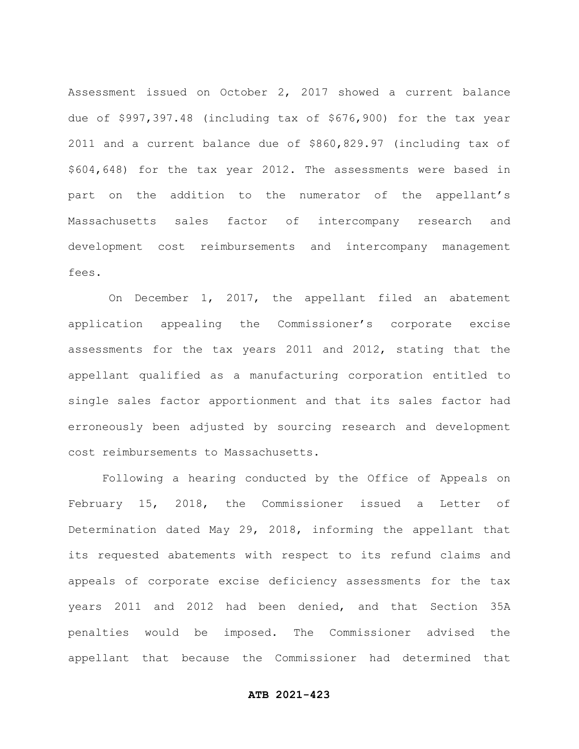Assessment issued on October 2, 2017 showed a current balance due of \$997,397.48 (including tax of \$676,900) for the tax year 2011 and a current balance due of \$860,829.97 (including tax of \$604,648) for the tax year 2012. The assessments were based in part on the addition to the numerator of the appellant's Massachusetts sales factor of intercompany research and development cost reimbursements and intercompany management fees.

On December 1, 2017, the appellant filed an abatement application appealing the Commissioner's corporate excise assessments for the tax years 2011 and 2012, stating that the appellant qualified as a manufacturing corporation entitled to single sales factor apportionment and that its sales factor had erroneously been adjusted by sourcing research and development cost reimbursements to Massachusetts.

Following a hearing conducted by the Office of Appeals on February 15, 2018, the Commissioner issued a Letter of Determination dated May 29, 2018, informing the appellant that its requested abatements with respect to its refund claims and appeals of corporate excise deficiency assessments for the tax years 2011 and 2012 had been denied, and that Section 35A penalties would be imposed. The Commissioner advised the appellant that because the Commissioner had determined that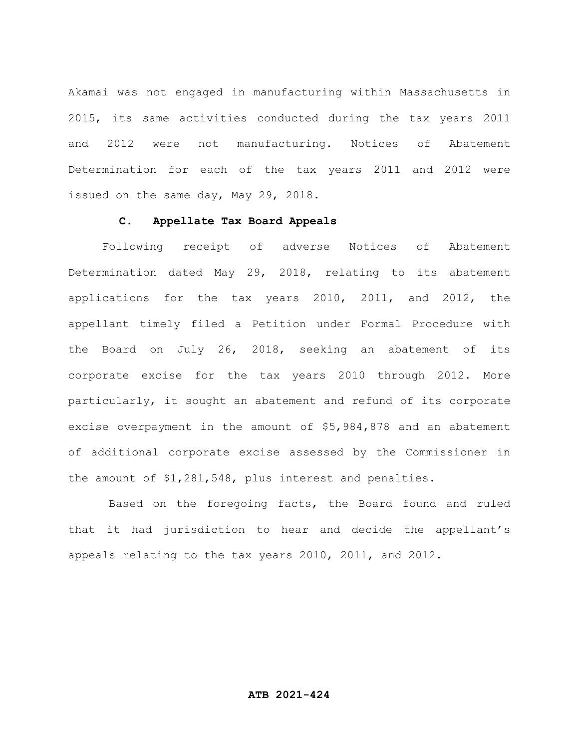Akamai was not engaged in manufacturing within Massachusetts in 2015, its same activities conducted during the tax years 2011 and 2012 were not manufacturing. Notices of Abatement Determination for each of the tax years 2011 and 2012 were issued on the same day, May 29, 2018.

### **C. Appellate Tax Board Appeals**

Following receipt of adverse Notices of Abatement Determination dated May 29, 2018, relating to its abatement applications for the tax years 2010, 2011, and 2012, the appellant timely filed a Petition under Formal Procedure with the Board on July 26, 2018, seeking an abatement of its corporate excise for the tax years 2010 through 2012. More particularly, it sought an abatement and refund of its corporate excise overpayment in the amount of \$5,984,878 and an abatement of additional corporate excise assessed by the Commissioner in the amount of \$1,281,548, plus interest and penalties.

Based on the foregoing facts, the Board found and ruled that it had jurisdiction to hear and decide the appellant's appeals relating to the tax years 2010, 2011, and 2012.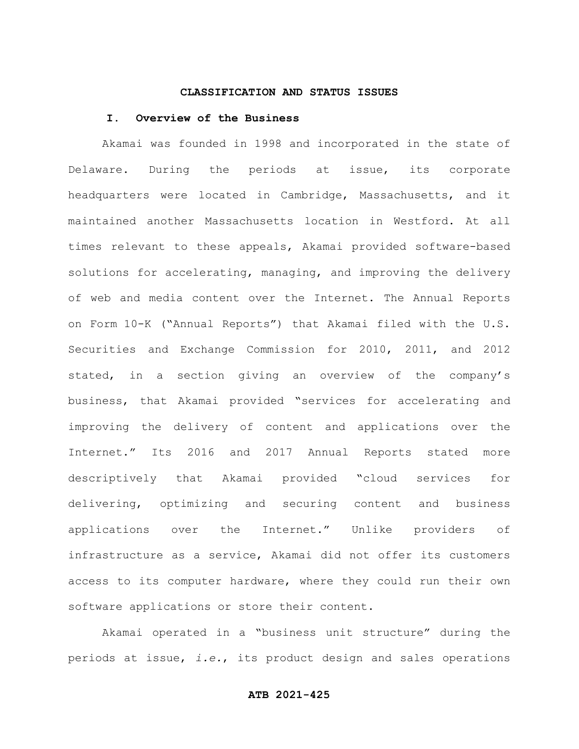#### **CLASSIFICATION AND STATUS ISSUES**

#### **I. Overview of the Business**

Akamai was founded in 1998 and incorporated in the state of Delaware. During the periods at issue, its corporate headquarters were located in Cambridge, Massachusetts, and it maintained another Massachusetts location in Westford. At all times relevant to these appeals, Akamai provided software-based solutions for accelerating, managing, and improving the delivery of web and media content over the Internet. The Annual Reports on Form 10-K ("Annual Reports") that Akamai filed with the U.S. Securities and Exchange Commission for 2010, 2011, and 2012 stated, in a section giving an overview of the company's business, that Akamai provided "services for accelerating and improving the delivery of content and applications over the Internet." Its 2016 and 2017 Annual Reports stated more descriptively that Akamai provided "cloud services for delivering, optimizing and securing content and business applications over the Internet." Unlike providers of infrastructure as a service, Akamai did not offer its customers access to its computer hardware, where they could run their own software applications or store their content.

Akamai operated in a "business unit structure" during the periods at issue, *i.e.*, its product design and sales operations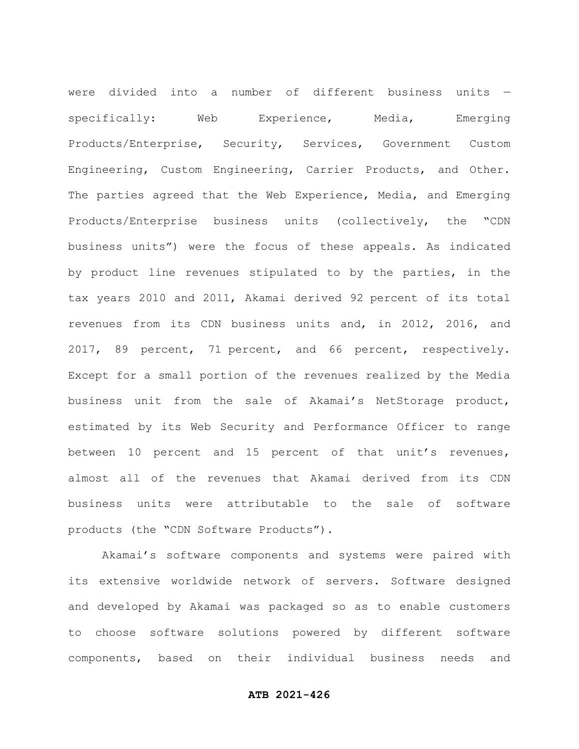were divided into a number of different business units specifically: Web Experience, Media, Emerging Products/Enterprise, Security, Services, Government Custom Engineering, Custom Engineering, Carrier Products, and Other. The parties agreed that the Web Experience, Media, and Emerging Products/Enterprise business units (collectively, the "CDN business units") were the focus of these appeals. As indicated by product line revenues stipulated to by the parties, in the tax years 2010 and 2011, Akamai derived 92 percent of its total revenues from its CDN business units and, in 2012, 2016, and 2017, 89 percent, 71 percent, and 66 percent, respectively. Except for a small portion of the revenues realized by the Media business unit from the sale of Akamai's NetStorage product, estimated by its Web Security and Performance Officer to range between 10 percent and 15 percent of that unit's revenues, almost all of the revenues that Akamai derived from its CDN business units were attributable to the sale of software products (the "CDN Software Products").

Akamai's software components and systems were paired with its extensive worldwide network of servers. Software designed and developed by Akamai was packaged so as to enable customers to choose software solutions powered by different software components, based on their individual business needs and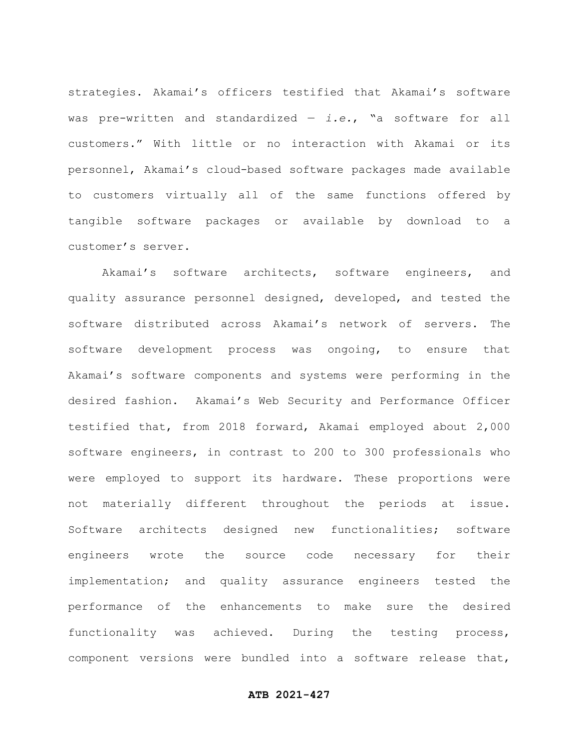strategies. Akamai's officers testified that Akamai's software was pre-written and standardized — *i.e.*, "a software for all customers." With little or no interaction with Akamai or its personnel, Akamai's cloud-based software packages made available to customers virtually all of the same functions offered by tangible software packages or available by download to a customer's server.

Akamai's software architects, software engineers, and quality assurance personnel designed, developed, and tested the software distributed across Akamai's network of servers. The software development process was ongoing, to ensure that Akamai's software components and systems were performing in the desired fashion. Akamai's Web Security and Performance Officer testified that, from 2018 forward, Akamai employed about 2,000 software engineers, in contrast to 200 to 300 professionals who were employed to support its hardware. These proportions were not materially different throughout the periods at issue. Software architects designed new functionalities; software engineers wrote the source code necessary for their implementation; and quality assurance engineers tested the performance of the enhancements to make sure the desired functionality was achieved. During the testing process, component versions were bundled into a software release that,

### **ATB 2021-427**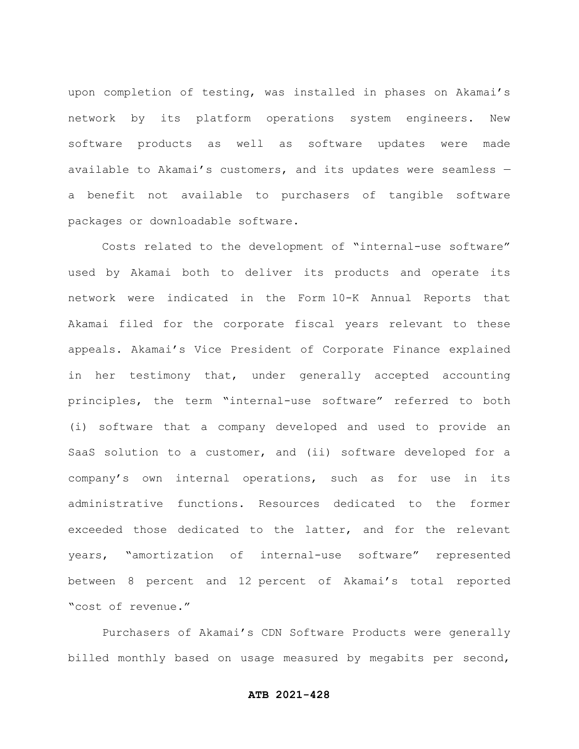upon completion of testing, was installed in phases on Akamai's network by its platform operations system engineers. New software products as well as software updates were made available to Akamai's customers, and its updates were seamless a benefit not available to purchasers of tangible software packages or downloadable software.

Costs related to the development of "internal-use software" used by Akamai both to deliver its products and operate its network were indicated in the Form 10-K Annual Reports that Akamai filed for the corporate fiscal years relevant to these appeals. Akamai's Vice President of Corporate Finance explained in her testimony that, under generally accepted accounting principles, the term "internal-use software" referred to both (i) software that a company developed and used to provide an SaaS solution to a customer, and (ii) software developed for a company's own internal operations, such as for use in its administrative functions. Resources dedicated to the former exceeded those dedicated to the latter, and for the relevant years, "amortization of internal-use software" represented between 8 percent and 12 percent of Akamai's total reported "cost of revenue."

Purchasers of Akamai's CDN Software Products were generally billed monthly based on usage measured by megabits per second,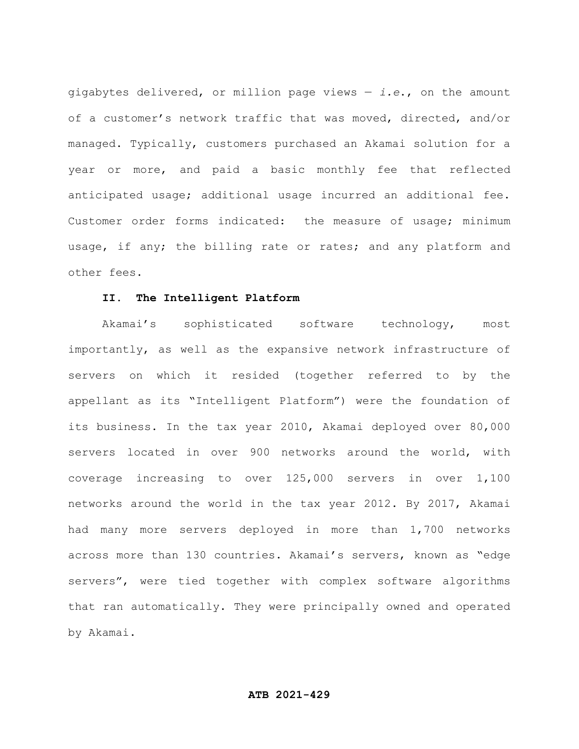gigabytes delivered, or million page views — *i.e*., on the amount of a customer's network traffic that was moved, directed, and/or managed. Typically, customers purchased an Akamai solution for a year or more, and paid a basic monthly fee that reflected anticipated usage; additional usage incurred an additional fee. Customer order forms indicated: the measure of usage; minimum usage, if any; the billing rate or rates; and any platform and other fees.

# **II. The Intelligent Platform**

Akamai's sophisticated software technology, most importantly, as well as the expansive network infrastructure of servers on which it resided (together referred to by the appellant as its "Intelligent Platform") were the foundation of its business. In the tax year 2010, Akamai deployed over 80,000 servers located in over 900 networks around the world, with coverage increasing to over 125,000 servers in over 1,100 networks around the world in the tax year 2012. By 2017, Akamai had many more servers deployed in more than 1,700 networks across more than 130 countries. Akamai's servers, known as "edge servers", were tied together with complex software algorithms that ran automatically. They were principally owned and operated by Akamai.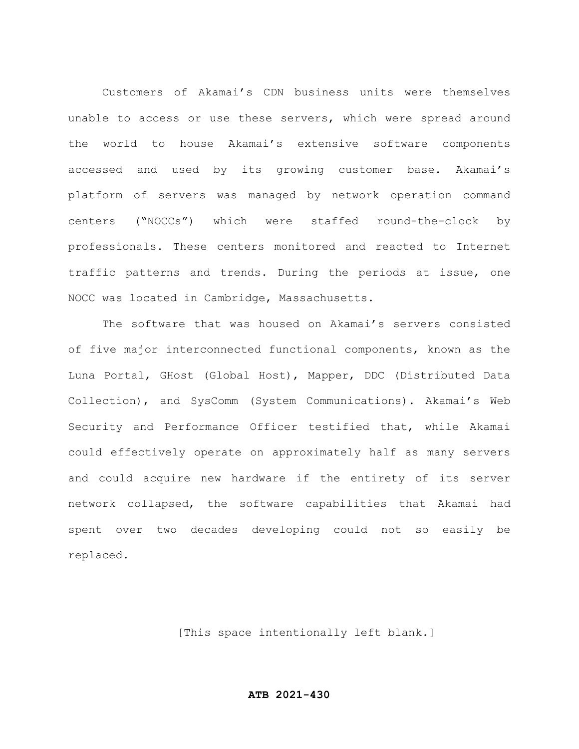Customers of Akamai's CDN business units were themselves unable to access or use these servers, which were spread around the world to house Akamai's extensive software components accessed and used by its growing customer base. Akamai's platform of servers was managed by network operation command centers ("NOCCs") which were staffed round-the-clock by professionals. These centers monitored and reacted to Internet traffic patterns and trends. During the periods at issue, one NOCC was located in Cambridge, Massachusetts.

The software that was housed on Akamai's servers consisted of five major interconnected functional components, known as the Luna Portal, GHost (Global Host), Mapper, DDC (Distributed Data Collection), and SysComm (System Communications). Akamai's Web Security and Performance Officer testified that, while Akamai could effectively operate on approximately half as many servers and could acquire new hardware if the entirety of its server network collapsed, the software capabilities that Akamai had spent over two decades developing could not so easily be replaced.

[This space intentionally left blank.]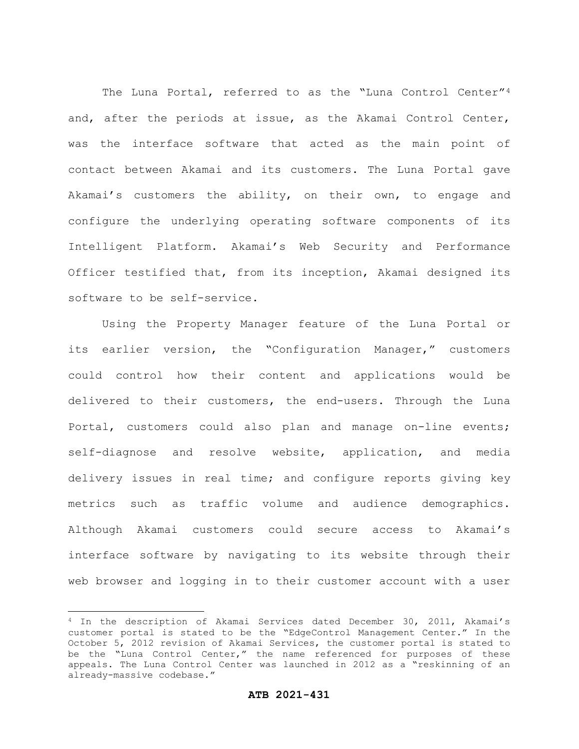The Luna Portal, referred to as the "Luna Control Center"<sup>4</sup> and, after the periods at issue, as the Akamai Control Center, was the interface software that acted as the main point of contact between Akamai and its customers. The Luna Portal gave Akamai's customers the ability, on their own, to engage and configure the underlying operating software components of its Intelligent Platform. Akamai's Web Security and Performance Officer testified that, from its inception, Akamai designed its software to be self-service.

Using the Property Manager feature of the Luna Portal or its earlier version, the "Configuration Manager," customers could control how their content and applications would be delivered to their customers, the end-users. Through the Luna Portal, customers could also plan and manage on-line events; self-diagnose and resolve website, application, and media delivery issues in real time; and configure reports giving key metrics such as traffic volume and audience demographics. Although Akamai customers could secure access to Akamai's interface software by navigating to its website through their web browser and logging in to their customer account with a user

<sup>4</sup> In the description of Akamai Services dated December 30, 2011, Akamai's customer portal is stated to be the "EdgeControl Management Center." In the October 5, 2012 revision of Akamai Services, the customer portal is stated to be the "Luna Control Center," the name referenced for purposes of these appeals. The Luna Control Center was launched in 2012 as a "reskinning of an already-massive codebase."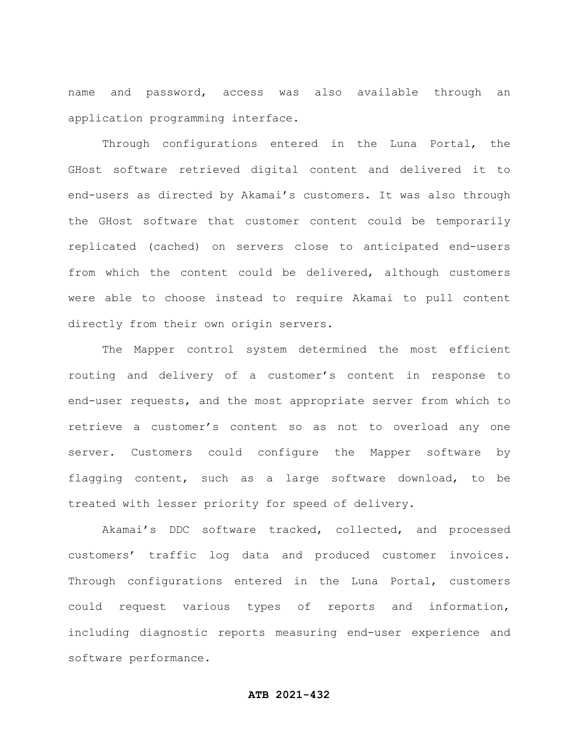name and password, access was also available through an application programming interface.

Through configurations entered in the Luna Portal, the GHost software retrieved digital content and delivered it to end-users as directed by Akamai's customers. It was also through the GHost software that customer content could be temporarily replicated (cached) on servers close to anticipated end-users from which the content could be delivered, although customers were able to choose instead to require Akamai to pull content directly from their own origin servers.

The Mapper control system determined the most efficient routing and delivery of a customer's content in response to end-user requests, and the most appropriate server from which to retrieve a customer's content so as not to overload any one server. Customers could configure the Mapper software by flagging content, such as a large software download, to be treated with lesser priority for speed of delivery.

Akamai's DDC software tracked, collected, and processed customers' traffic log data and produced customer invoices. Through configurations entered in the Luna Portal, customers could request various types of reports and information, including diagnostic reports measuring end-user experience and software performance.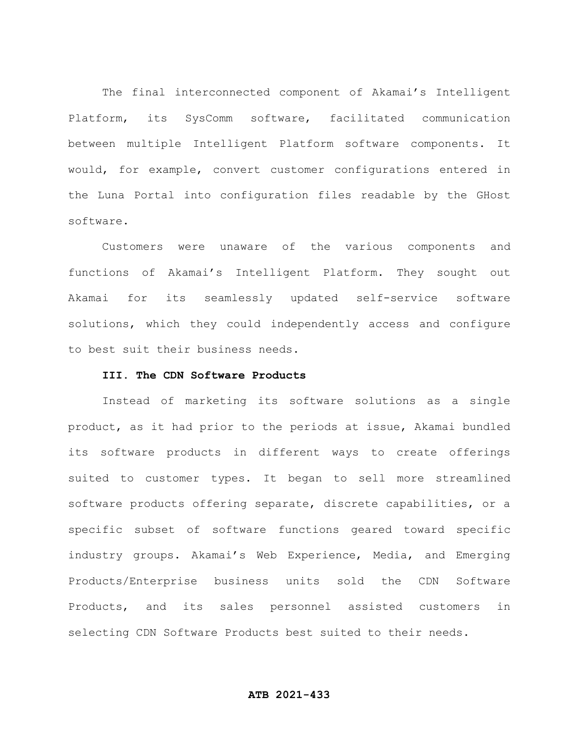The final interconnected component of Akamai's Intelligent Platform, its SysComm software, facilitated communication between multiple Intelligent Platform software components. It would, for example, convert customer configurations entered in the Luna Portal into configuration files readable by the GHost software.

Customers were unaware of the various components and functions of Akamai's Intelligent Platform. They sought out Akamai for its seamlessly updated self-service software solutions, which they could independently access and configure to best suit their business needs.

### **III. The CDN Software Products**

Instead of marketing its software solutions as a single product, as it had prior to the periods at issue, Akamai bundled its software products in different ways to create offerings suited to customer types. It began to sell more streamlined software products offering separate, discrete capabilities, or a specific subset of software functions geared toward specific industry groups. Akamai's Web Experience, Media, and Emerging Products/Enterprise business units sold the CDN Software Products, and its sales personnel assisted customers in selecting CDN Software Products best suited to their needs.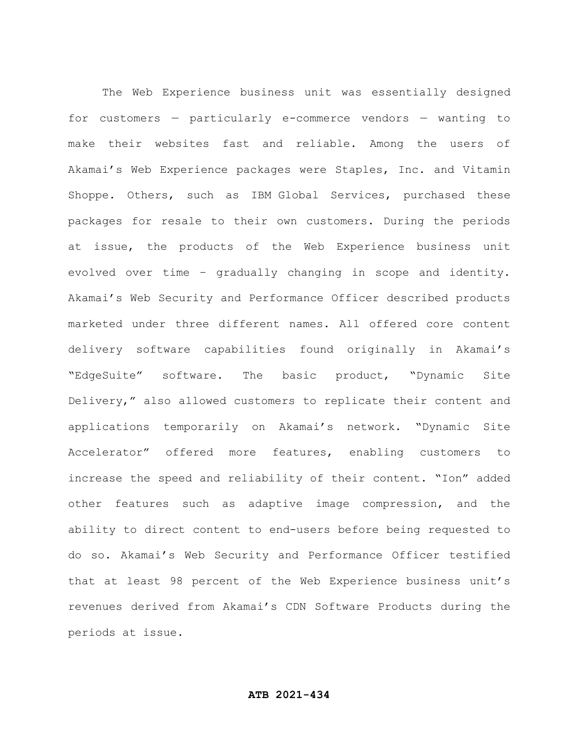The Web Experience business unit was essentially designed for customers — particularly e-commerce vendors — wanting to make their websites fast and reliable. Among the users of Akamai's Web Experience packages were Staples, Inc. and Vitamin Shoppe. Others, such as IBM Global Services, purchased these packages for resale to their own customers. During the periods at issue, the products of the Web Experience business unit evolved over time – gradually changing in scope and identity. Akamai's Web Security and Performance Officer described products marketed under three different names. All offered core content delivery software capabilities found originally in Akamai's "EdgeSuite" software. The basic product, "Dynamic Site Delivery," also allowed customers to replicate their content and applications temporarily on Akamai's network. "Dynamic Site Accelerator" offered more features, enabling customers to increase the speed and reliability of their content. "Ion" added other features such as adaptive image compression, and the ability to direct content to end-users before being requested to do so. Akamai's Web Security and Performance Officer testified that at least 98 percent of the Web Experience business unit's revenues derived from Akamai's CDN Software Products during the periods at issue.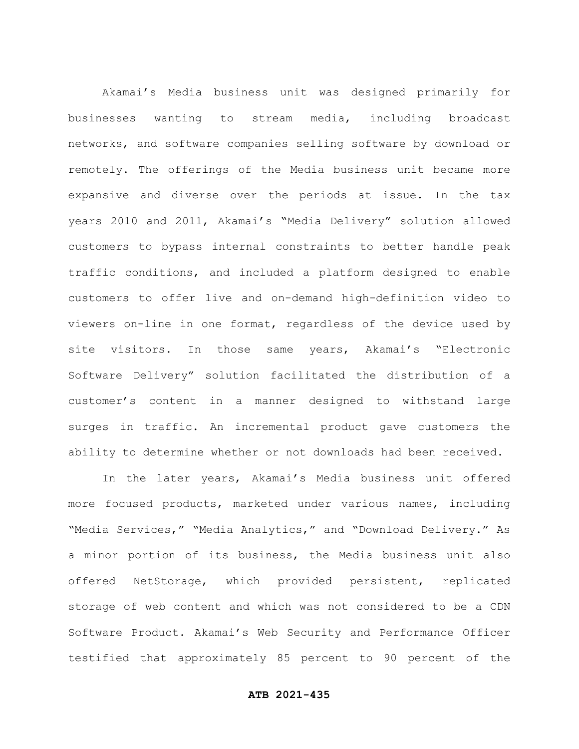Akamai's Media business unit was designed primarily for businesses wanting to stream media, including broadcast networks, and software companies selling software by download or remotely. The offerings of the Media business unit became more expansive and diverse over the periods at issue. In the tax years 2010 and 2011, Akamai's "Media Delivery" solution allowed customers to bypass internal constraints to better handle peak traffic conditions, and included a platform designed to enable customers to offer live and on-demand high-definition video to viewers on-line in one format, regardless of the device used by site visitors. In those same years, Akamai's "Electronic Software Delivery" solution facilitated the distribution of a customer's content in a manner designed to withstand large surges in traffic. An incremental product gave customers the ability to determine whether or not downloads had been received.

In the later years, Akamai's Media business unit offered more focused products, marketed under various names, including "Media Services," "Media Analytics," and "Download Delivery." As a minor portion of its business, the Media business unit also offered NetStorage, which provided persistent, replicated storage of web content and which was not considered to be a CDN Software Product. Akamai's Web Security and Performance Officer testified that approximately 85 percent to 90 percent of the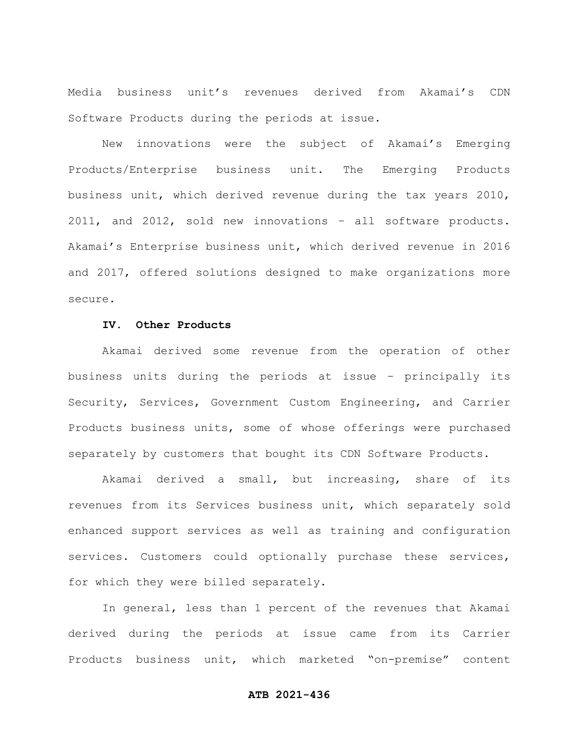Media business unit's revenues derived from Akamai's CDN Software Products during the periods at issue.

New innovations were the subject of Akamai's Emerging Products/Enterprise business unit. The Emerging Products business unit, which derived revenue during the tax years 2010, 2011, and 2012, sold new innovations – all software products. Akamai's Enterprise business unit, which derived revenue in 2016 and 2017, offered solutions designed to make organizations more secure.

# **IV. Other Products**

Akamai derived some revenue from the operation of other business units during the periods at issue – principally its Security, Services, Government Custom Engineering, and Carrier Products business units, some of whose offerings were purchased separately by customers that bought its CDN Software Products.

Akamai derived a small, but increasing, share of its revenues from its Services business unit, which separately sold enhanced support services as well as training and configuration services. Customers could optionally purchase these services, for which they were billed separately.

In general, less than 1 percent of the revenues that Akamai derived during the periods at issue came from its Carrier Products business unit, which marketed "on-premise" content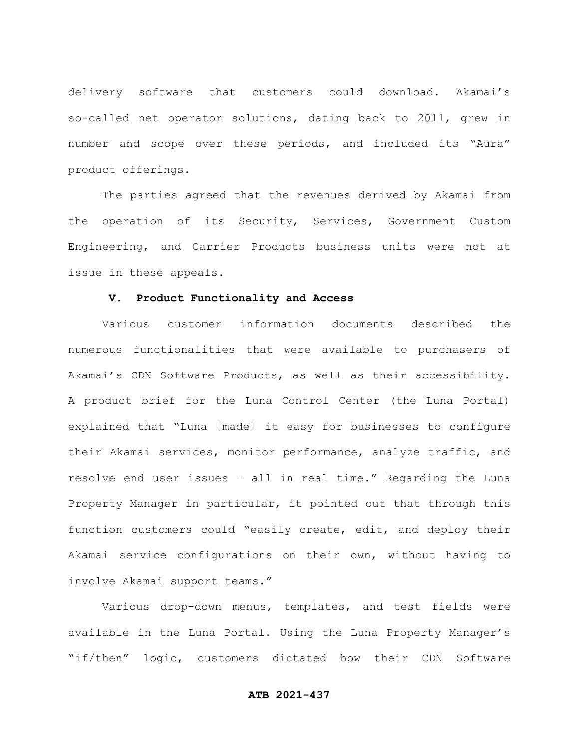delivery software that customers could download. Akamai's so-called net operator solutions, dating back to 2011, grew in number and scope over these periods, and included its "Aura" product offerings.

The parties agreed that the revenues derived by Akamai from the operation of its Security, Services, Government Custom Engineering, and Carrier Products business units were not at issue in these appeals.

# **V. Product Functionality and Access**

Various customer information documents described the numerous functionalities that were available to purchasers of Akamai's CDN Software Products, as well as their accessibility. A product brief for the Luna Control Center (the Luna Portal) explained that "Luna [made] it easy for businesses to configure their Akamai services, monitor performance, analyze traffic, and resolve end user issues – all in real time." Regarding the Luna Property Manager in particular, it pointed out that through this function customers could "easily create, edit, and deploy their Akamai service configurations on their own, without having to involve Akamai support teams."

Various drop-down menus, templates, and test fields were available in the Luna Portal. Using the Luna Property Manager's "if/then" logic, customers dictated how their CDN Software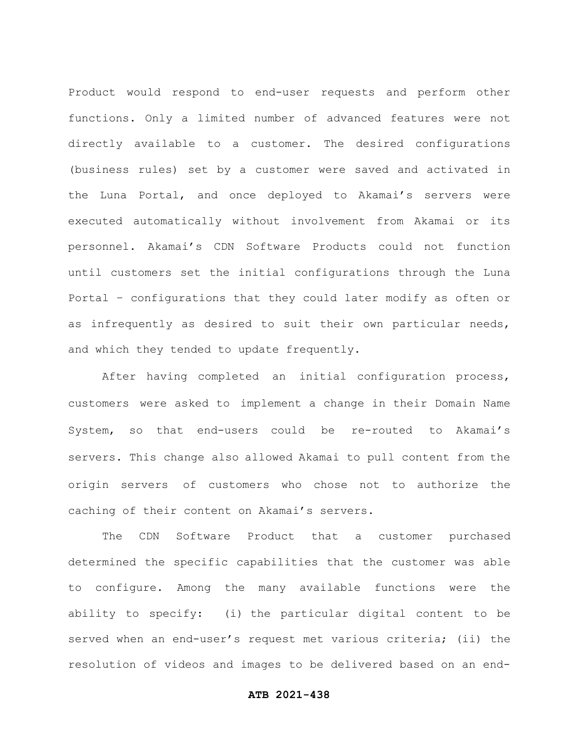Product would respond to end-user requests and perform other functions. Only a limited number of advanced features were not directly available to a customer. The desired configurations (business rules) set by a customer were saved and activated in the Luna Portal, and once deployed to Akamai's servers were executed automatically without involvement from Akamai or its personnel. Akamai's CDN Software Products could not function until customers set the initial configurations through the Luna Portal – configurations that they could later modify as often or as infrequently as desired to suit their own particular needs, and which they tended to update frequently.

After having completed an initial configuration process, customers were asked to implement a change in their Domain Name System, so that end-users could be re-routed to Akamai's servers. This change also allowed Akamai to pull content from the origin servers of customers who chose not to authorize the caching of their content on Akamai's servers.

The CDN Software Product that a customer purchased determined the specific capabilities that the customer was able to configure. Among the many available functions were the ability to specify: (i) the particular digital content to be served when an end-user's request met various criteria; (ii) the resolution of videos and images to be delivered based on an end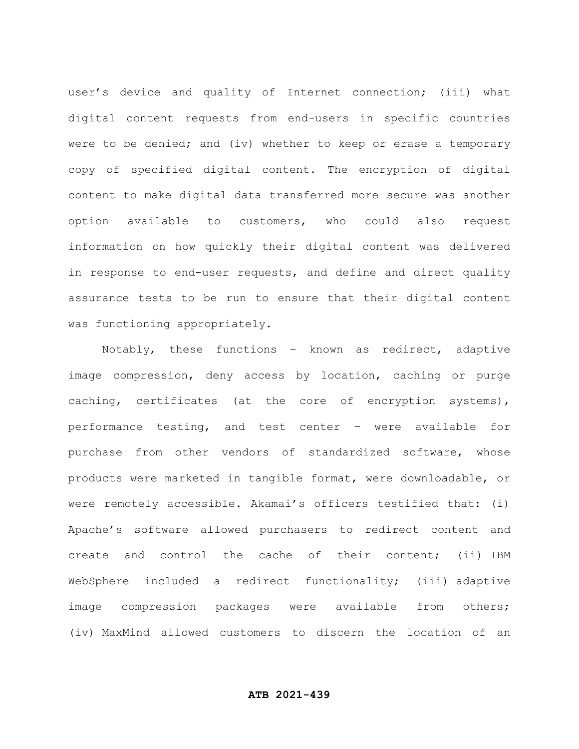user's device and quality of Internet connection; (iii) what digital content requests from end-users in specific countries were to be denied; and (iv) whether to keep or erase a temporary copy of specified digital content. The encryption of digital content to make digital data transferred more secure was another option available to customers, who could also request information on how quickly their digital content was delivered in response to end-user requests, and define and direct quality assurance tests to be run to ensure that their digital content was functioning appropriately.

Notably, these functions – known as redirect, adaptive image compression, deny access by location, caching or purge caching, certificates (at the core of encryption systems), performance testing, and test center – were available for purchase from other vendors of standardized software, whose products were marketed in tangible format, were downloadable, or were remotely accessible. Akamai's officers testified that: (i) Apache's software allowed purchasers to redirect content and create and control the cache of their content; (ii) IBM WebSphere included a redirect functionality; (iii) adaptive image compression packages were available from others; (iv) MaxMind allowed customers to discern the location of an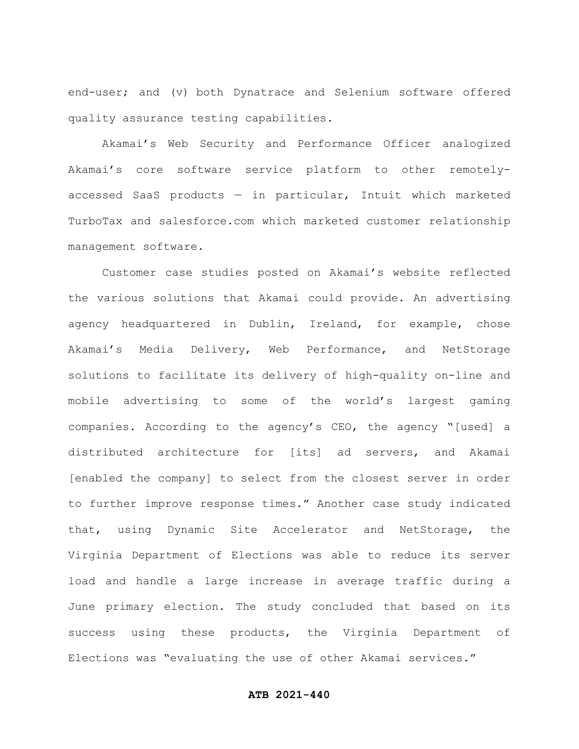end-user; and (v) both Dynatrace and Selenium software offered quality assurance testing capabilities.

Akamai's Web Security and Performance Officer analogized Akamai's core software service platform to other remotelyaccessed SaaS products — in particular, Intuit which marketed TurboTax and salesforce.com which marketed customer relationship management software.

Customer case studies posted on Akamai's website reflected the various solutions that Akamai could provide. An advertising agency headquartered in Dublin, Ireland, for example, chose Akamai's Media Delivery, Web Performance, and NetStorage solutions to facilitate its delivery of high-quality on-line and mobile advertising to some of the world's largest gaming companies. According to the agency's CEO, the agency "[used] a distributed architecture for [its] ad servers, and Akamai [enabled the company] to select from the closest server in order to further improve response times." Another case study indicated that, using Dynamic Site Accelerator and NetStorage, the Virginia Department of Elections was able to reduce its server load and handle a large increase in average traffic during a June primary election. The study concluded that based on its success using these products, the Virginia Department of Elections was "evaluating the use of other Akamai services."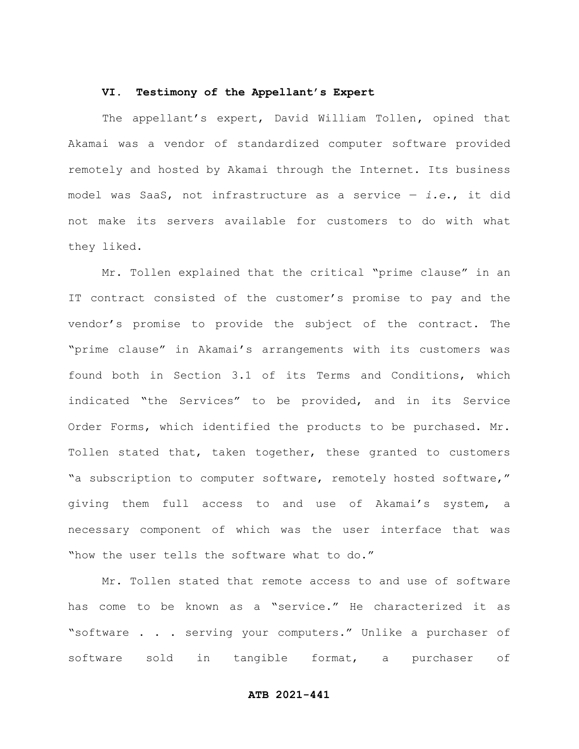#### **VI. Testimony of the Appellant's Expert**

The appellant's expert, David William Tollen**,** opined that Akamai was a vendor of standardized computer software provided remotely and hosted by Akamai through the Internet. Its business model was SaaS, not infrastructure as a service — *i.e*., it did not make its servers available for customers to do with what they liked.

Mr. Tollen explained that the critical "prime clause" in an IT contract consisted of the customer's promise to pay and the vendor's promise to provide the subject of the contract. The "prime clause" in Akamai's arrangements with its customers was found both in Section 3.1 of its Terms and Conditions, which indicated "the Services" to be provided, and in its Service Order Forms, which identified the products to be purchased. Mr. Tollen stated that, taken together, these granted to customers "a subscription to computer software, remotely hosted software," giving them full access to and use of Akamai's system, a necessary component of which was the user interface that was "how the user tells the software what to do."

Mr. Tollen stated that remote access to and use of software has come to be known as a "service." He characterized it as "software . . . serving your computers." Unlike a purchaser of software sold in tangible format, a purchaser of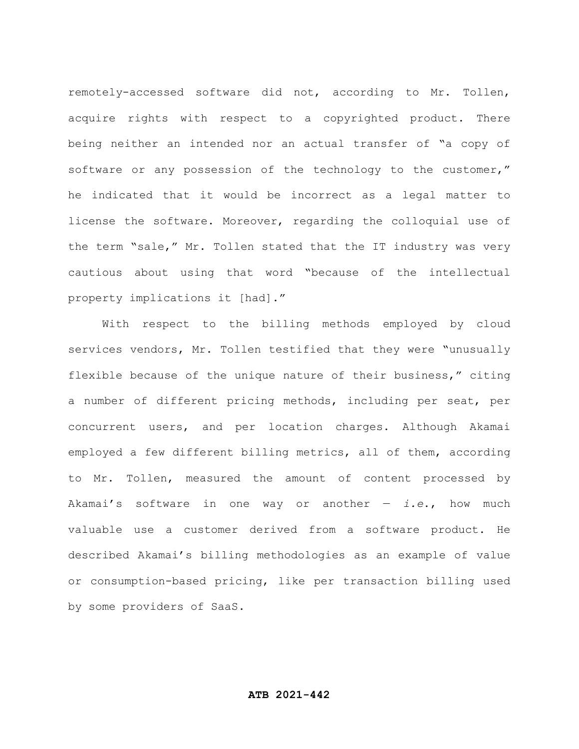remotely-accessed software did not, according to Mr. Tollen, acquire rights with respect to a copyrighted product. There being neither an intended nor an actual transfer of "a copy of software or any possession of the technology to the customer," he indicated that it would be incorrect as a legal matter to license the software. Moreover, regarding the colloquial use of the term "sale," Mr. Tollen stated that the IT industry was very cautious about using that word "because of the intellectual property implications it [had]."

With respect to the billing methods employed by cloud services vendors, Mr. Tollen testified that they were "unusually flexible because of the unique nature of their business," citing a number of different pricing methods, including per seat, per concurrent users, and per location charges. Although Akamai employed a few different billing metrics, all of them, according to Mr. Tollen, measured the amount of content processed by Akamai's software in one way or another — *i.e*., how much valuable use a customer derived from a software product. He described Akamai's billing methodologies as an example of value or consumption-based pricing, like per transaction billing used by some providers of SaaS.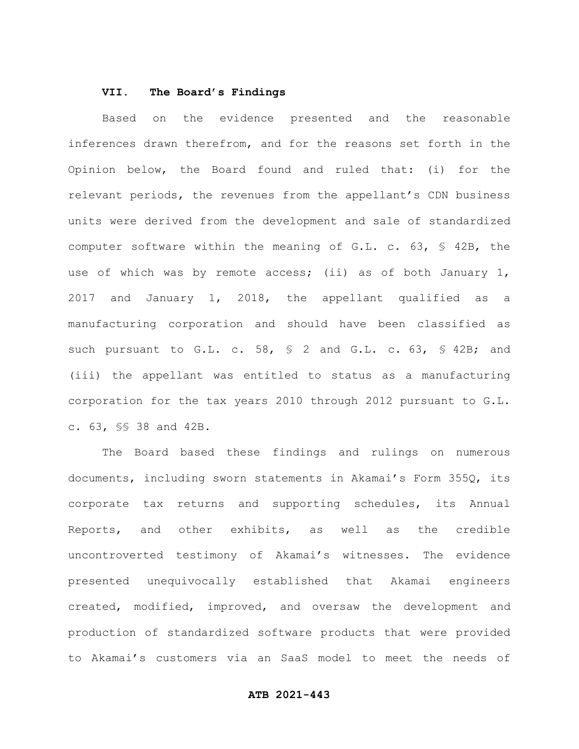#### **VII. The Board's Findings**

Based on the evidence presented and the reasonable inferences drawn therefrom, and for the reasons set forth in the Opinion below, the Board found and ruled that: (i) for the relevant periods, the revenues from the appellant's CDN business units were derived from the development and sale of standardized computer software within the meaning of G.L. c. 63, § 42B, the use of which was by remote access; (ii) as of both January 1, 2017 and January 1, 2018, the appellant qualified as a manufacturing corporation and should have been classified as such pursuant to G.L. c. 58, § 2 and G.L. c. 63, § 42B; and (iii) the appellant was entitled to status as a manufacturing corporation for the tax years 2010 through 2012 pursuant to G.L. c. 63, §§ 38 and 42B.

The Board based these findings and rulings on numerous documents, including sworn statements in Akamai's Form 355Q, its corporate tax returns and supporting schedules, its Annual Reports, and other exhibits, as well as the credible uncontroverted testimony of Akamai's witnesses. The evidence presented unequivocally established that Akamai engineers created, modified, improved, and oversaw the development and production of standardized software products that were provided to Akamai's customers via an SaaS model to meet the needs of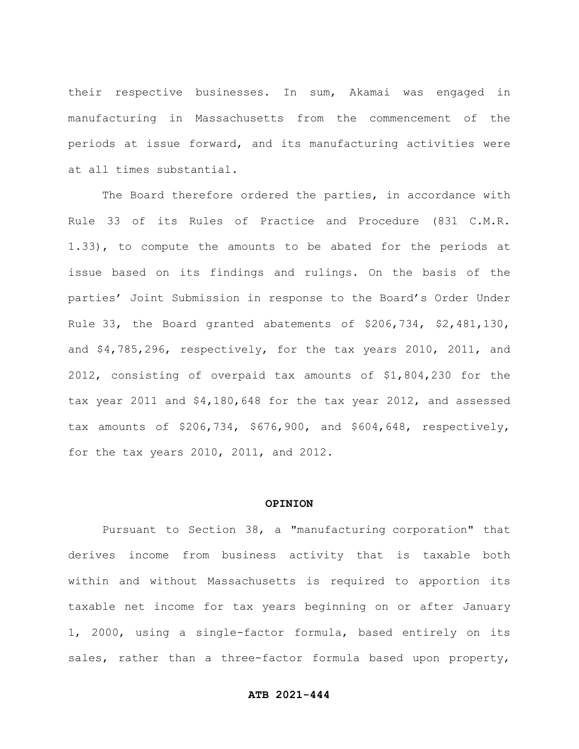their respective businesses. In sum, Akamai was engaged in manufacturing in Massachusetts from the commencement of the periods at issue forward, and its manufacturing activities were at all times substantial.

The Board therefore ordered the parties, in accordance with Rule 33 of its Rules of Practice and Procedure (831 C.M.R. 1.33), to compute the amounts to be abated for the periods at issue based on its findings and rulings. On the basis of the parties' Joint Submission in response to the Board's Order Under Rule 33, the Board granted abatements of \$206,734, \$2,481,130, and \$4,785,296, respectively, for the tax years 2010, 2011, and 2012, consisting of overpaid tax amounts of \$1,804,230 for the tax year 2011 and \$4,180,648 for the tax year 2012, and assessed tax amounts of \$206,734, \$676,900, and \$604,648, respectively, for the tax years 2010, 2011, and 2012.

#### **OPINION**

Pursuant to Section 38, a "manufacturing corporation" that derives income from business activity that is taxable both within and without Massachusetts is required to apportion its taxable net income for tax years beginning on or after January 1, 2000, using a single-factor formula, based entirely on its sales, rather than a three-factor formula based upon property,

### **ATB 2021-444**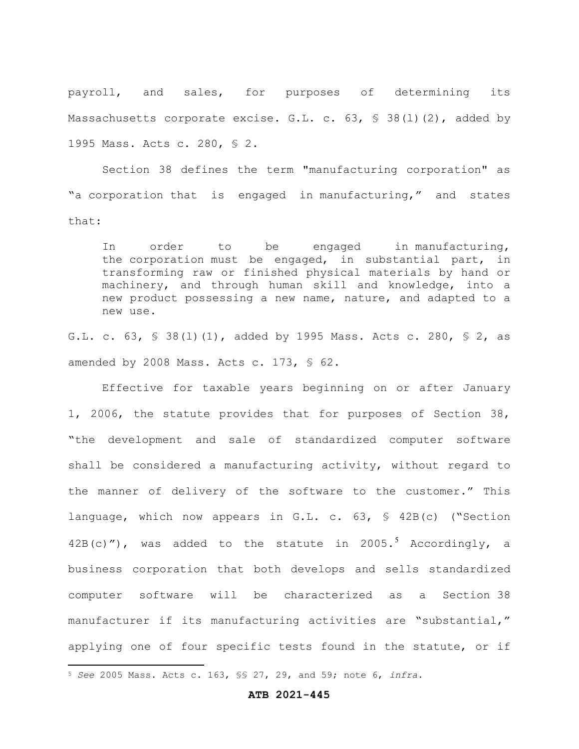payroll, and sales, for purposes of determining its Massachusetts corporate excise. G.L. c.  $63, 538(1)(2)$ , added by 1995 Mass. Acts c. 280, § 2.

Section 38 defines the term "manufacturing corporation" as "a corporation that is engaged in manufacturing," and states that:

In order to be engaged in manufacturing, the corporation must be engaged, in substantial part, in transforming raw or finished physical materials by hand or machinery, and through human skill and knowledge, into a new product possessing a new name, nature, and adapted to a new use.

G.L. c. 63, § 38(l)(1), added by 1995 Mass. Acts c. 280, § 2, as amended by 2008 Mass. Acts c. 173, § 62.

Effective for taxable years beginning on or after January 1, 2006, the statute provides that for purposes of Section 38, "the development and sale of standardized computer software shall be considered a manufacturing activity, without regard to the manner of delivery of the software to the customer." This language, which now appears in G.L. c. 63, § 42B(c) ("Section  $42B(c)$ "), was added to the statute in 2005.<sup>5</sup> Accordingly, a business corporation that both develops and sells standardized computer software will be characterized as a Section 38 manufacturer if its manufacturing activities are "substantial," applying one of four specific tests found in the statute, or if

#### **ATB 2021-445**

<sup>5</sup> *See* 2005 Mass. Acts c. 163, §§ 27, 29, and 59; note 6, *infra*.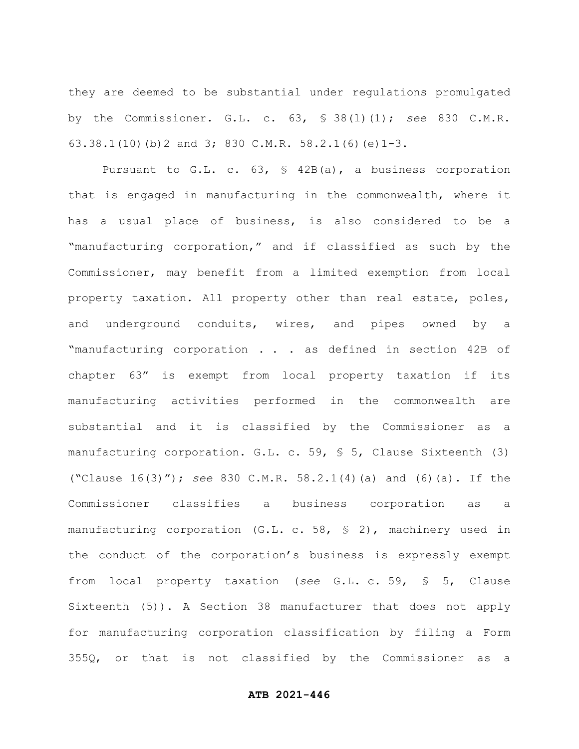they are deemed to be substantial under regulations promulgated by the Commissioner. G.L. c. 63, § 38(l)(1); *see* 830 C.M.R. 63.38.1(10)(b)2 and 3; 830 C.M.R. 58.2.1(6)(e)1-3.

Pursuant to G.L. c. 63, § 42B(a), a business corporation that is engaged in manufacturing in the commonwealth, where it has a usual place of business, is also considered to be a "manufacturing corporation," and if classified as such by the Commissioner, may benefit from a limited exemption from local property taxation. All property other than real estate, poles, and underground conduits, wires, and pipes owned by a "manufacturing corporation . . . as defined in section 42B of chapter 63" is exempt from local property taxation if its manufacturing activities performed in the commonwealth are substantial and it is classified by the Commissioner as a manufacturing corporation. G.L. c. 59, § 5, Clause Sixteenth (3) ("Clause 16(3)"); *see* 830 C.M.R. 58.2.1(4)(a) and (6)(a). If the Commissioner classifies a business corporation as a manufacturing corporation (G.L. c. 58, § 2), machinery used in the conduct of the corporation's business is expressly exempt from local property taxation (*see* G.L. c. 59, § 5, Clause Sixteenth (5)). A Section 38 manufacturer that does not apply for manufacturing corporation classification by filing a Form 355Q, or that is not classified by the Commissioner as a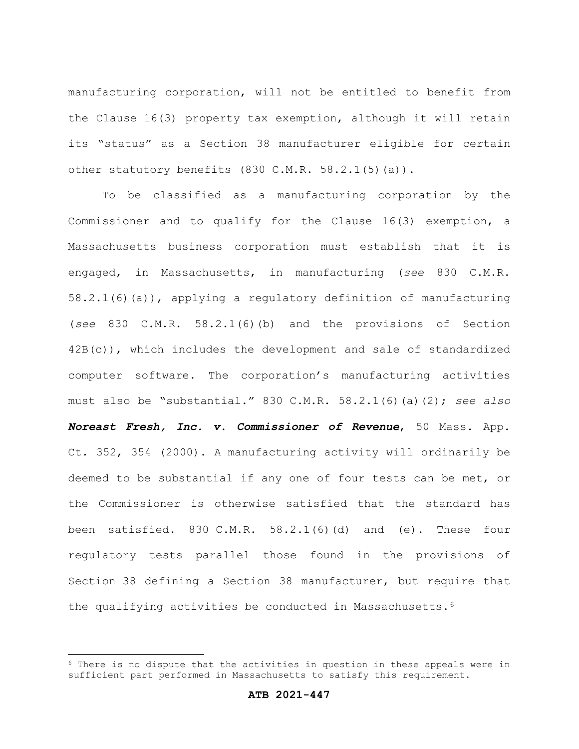manufacturing corporation, will not be entitled to benefit from the Clause 16(3) property tax exemption, although it will retain its "status" as a Section 38 manufacturer eligible for certain other statutory benefits (830 C.M.R. 58.2.1(5)(a)).

To be classified as a manufacturing corporation by the Commissioner and to qualify for the Clause 16(3) exemption, a Massachusetts business corporation must establish that it is engaged, in Massachusetts, in manufacturing (*see* 830 C.M.R. 58.2.1(6)(a)), applying a regulatory definition of manufacturing (*see* 830 C.M.R. 58.2.1(6)(b) and the provisions of Section 42B(c)), which includes the development and sale of standardized computer software. The corporation's manufacturing activities must also be "substantial." 830 C.M.R. 58.2.1(6)(a)(2); *see also Noreast Fresh, Inc. v. Commissioner of Revenue*, 50 Mass. App. Ct. 352, 354 (2000). A manufacturing activity will ordinarily be deemed to be substantial if any one of four tests can be met, or the Commissioner is otherwise satisfied that the standard has been satisfied. 830 C.M.R.  $58.2.1(6)(d)$  and  $(e)$ . These four regulatory tests parallel those found in the provisions of Section 38 defining a Section 38 manufacturer, but require that the qualifying activities be conducted in Massachusetts.<sup>6</sup>

 $6$  There is no dispute that the activities in question in these appeals were in sufficient part performed in Massachusetts to satisfy this requirement.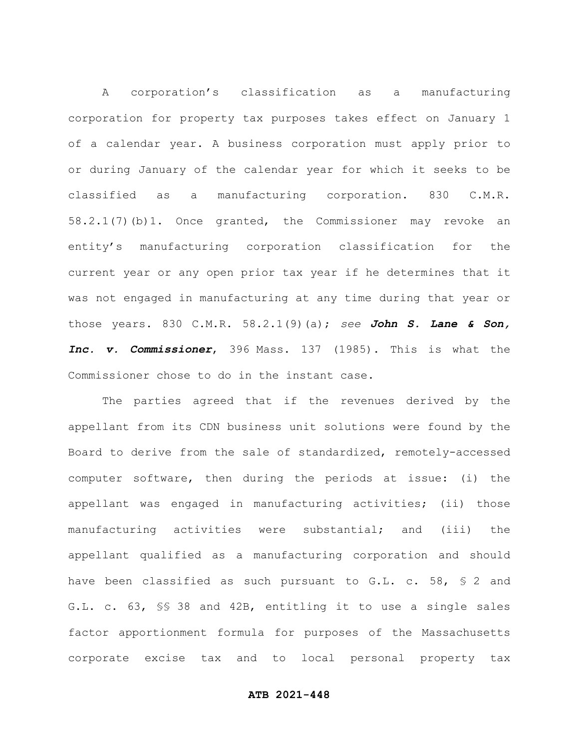A corporation's classification as a manufacturing corporation for property tax purposes takes effect on January 1 of a calendar year. A business corporation must apply prior to or during January of the calendar year for which it seeks to be classified as a manufacturing corporation. 830 C.M.R. 58.2.1(7)(b)1. Once granted, the Commissioner may revoke an entity's manufacturing corporation classification for the current year or any open prior tax year if he determines that it was not engaged in manufacturing at any time during that year or those years. 830 C.M.R. 58.2.1(9)(a); *see John S. Lane & Son, Inc. v. Commissioner*, 396 Mass. 137 (1985). This is what the Commissioner chose to do in the instant case.

The parties agreed that if the revenues derived by the appellant from its CDN business unit solutions were found by the Board to derive from the sale of standardized, remotely-accessed computer software, then during the periods at issue: (i) the appellant was engaged in manufacturing activities; (ii) those manufacturing activities were substantial; and (iii) the appellant qualified as a manufacturing corporation and should have been classified as such pursuant to G.L. c. 58, § 2 and G.L. c. 63, §§ 38 and 42B, entitling it to use a single sales factor apportionment formula for purposes of the Massachusetts corporate excise tax and to local personal property tax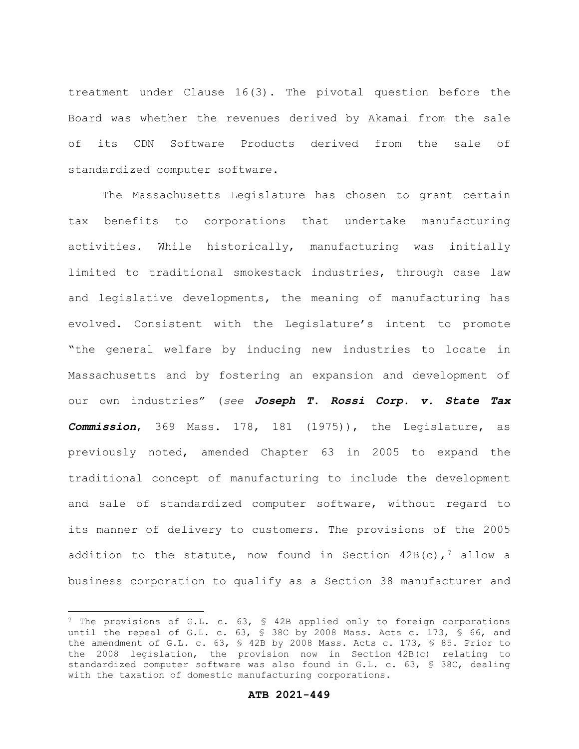treatment under Clause 16(3). The pivotal question before the Board was whether the revenues derived by Akamai from the sale of its CDN Software Products derived from the sale of standardized computer software.

The Massachusetts Legislature has chosen to grant certain tax benefits to corporations that undertake manufacturing activities. While historically, manufacturing was initially limited to traditional smokestack industries, through case law and legislative developments, the meaning of manufacturing has evolved. Consistent with the Legislature's intent to promote "the general welfare by inducing new industries to locate in Massachusetts and by fostering an expansion and development of our own industries" (*see Joseph T. Rossi Corp. v. State Tax Commission*, 369 Mass. 178, 181 (1975)), the Legislature, as previously noted, amended Chapter 63 in 2005 to expand the traditional concept of manufacturing to include the development and sale of standardized computer software, without regard to its manner of delivery to customers. The provisions of the 2005 addition to the statute, now found in Section  $42B(c)$ , allow a business corporation to qualify as a Section 38 manufacturer and

<sup>&</sup>lt;sup>7</sup> The provisions of G.L. c. 63, § 42B applied only to foreign corporations until the repeal of G.L. c. 63, § 38C by 2008 Mass. Acts c. 173, § 66, and the amendment of G.L. c. 63, § 42B by 2008 Mass. Acts c. 173, § 85. Prior to the 2008 legislation, the provision now in Section 42B(c) relating to standardized computer software was also found in G.L. c. 63, § 38C, dealing with the taxation of domestic manufacturing corporations.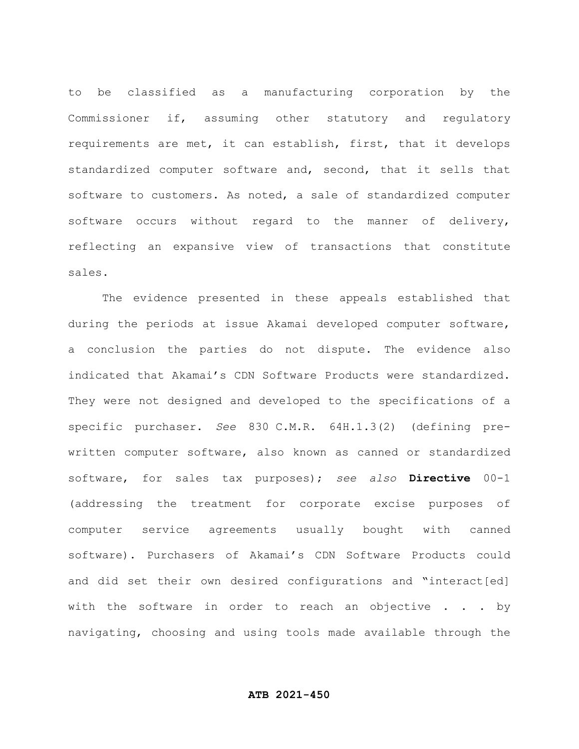to be classified as a manufacturing corporation by the Commissioner if, assuming other statutory and regulatory requirements are met, it can establish, first, that it develops standardized computer software and, second, that it sells that software to customers. As noted, a sale of standardized computer software occurs without regard to the manner of delivery, reflecting an expansive view of transactions that constitute sales.

The evidence presented in these appeals established that during the periods at issue Akamai developed computer software, a conclusion the parties do not dispute. The evidence also indicated that Akamai's CDN Software Products were standardized. They were not designed and developed to the specifications of a specific purchaser. *See* 830 C.M.R. 64H.1.3(2) (defining prewritten computer software, also known as canned or standardized software, for sales tax purposes); *see also* **Directive** 00-1 (addressing the treatment for corporate excise purposes of computer service agreements usually bought with canned software). Purchasers of Akamai's CDN Software Products could and did set their own desired configurations and "interact[ed] with the software in order to reach an objective . . . by navigating, choosing and using tools made available through the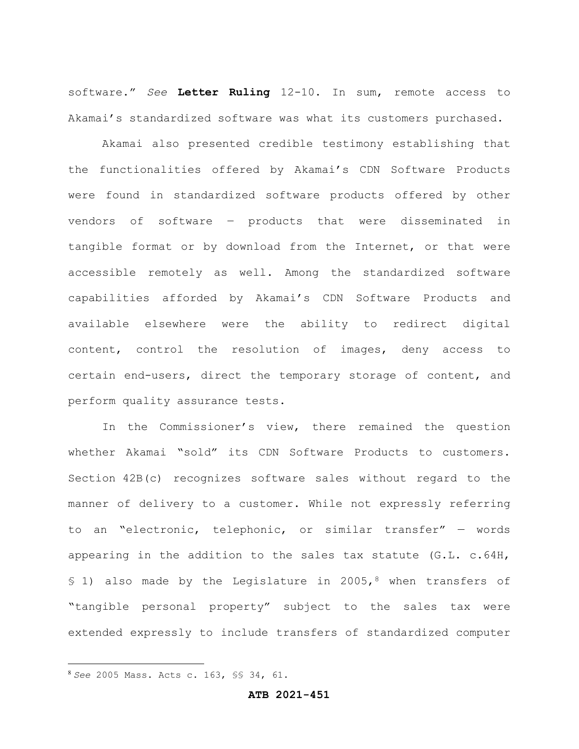software." *See* **Letter Ruling** 12-10. In sum, remote access to Akamai's standardized software was what its customers purchased.

Akamai also presented credible testimony establishing that the functionalities offered by Akamai's CDN Software Products were found in standardized software products offered by other vendors of software – products that were disseminated in tangible format or by download from the Internet, or that were accessible remotely as well. Among the standardized software capabilities afforded by Akamai's CDN Software Products and available elsewhere were the ability to redirect digital content, control the resolution of images, deny access to certain end-users, direct the temporary storage of content, and perform quality assurance tests.

In the Commissioner's view, there remained the question whether Akamai "sold" its CDN Software Products to customers. Section 42B(c) recognizes software sales without regard to the manner of delivery to a customer. While not expressly referring to an "electronic, telephonic, or similar transfer" — words appearing in the addition to the sales tax statute (G.L. c.64H, § 1) also made by the Legislature in 2005,8 when transfers of "tangible personal property" subject to the sales tax were extended expressly to include transfers of standardized computer

<sup>8</sup> *See* 2005 Mass. Acts c. 163, §§ 34, 61.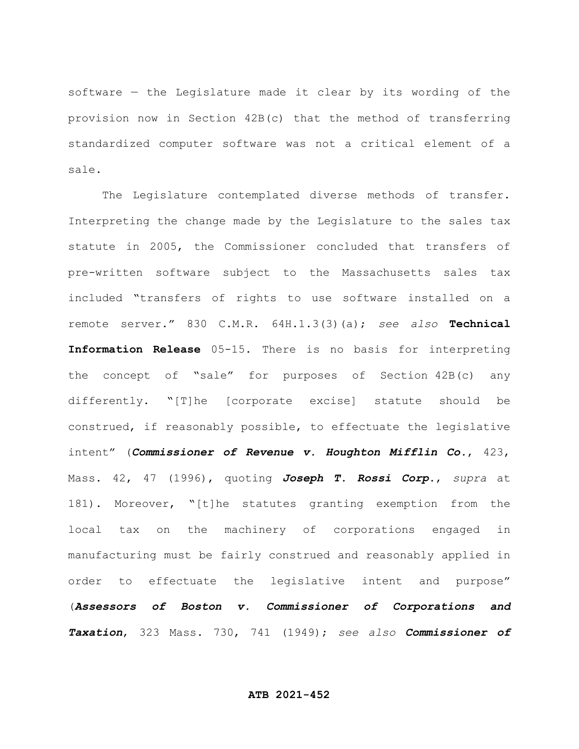software — the Legislature made it clear by its wording of the provision now in Section 42B(c) that the method of transferring standardized computer software was not a critical element of a sale.

The Legislature contemplated diverse methods of transfer. Interpreting the change made by the Legislature to the sales tax statute in 2005, the Commissioner concluded that transfers of pre-written software subject to the Massachusetts sales tax included "transfers of rights to use software installed on a remote server." 830 C.M.R. 64H.1.3(3)(a); *see also* **Technical Information Release** 05-15. There is no basis for interpreting the concept of "sale" for purposes of Section 42B(c) any differently. "[T]he [corporate excise] statute should be construed, if reasonably possible, to effectuate the legislative intent" (*Commissioner of Revenue v. Houghton Mifflin Co.*, 423, Mass. 42, 47 (1996), quoting *Joseph T. Rossi Corp*., *supra* at 181). Moreover, "[t]he statutes granting exemption from the local tax on the machinery of corporations engaged in manufacturing must be fairly construed and reasonably applied in order to effectuate the legislative intent and purpose" (*Assessors of Boston v. Commissioner of Corporations and Taxation*, 323 Mass. 730, 741 (1949); *see also Commissioner of*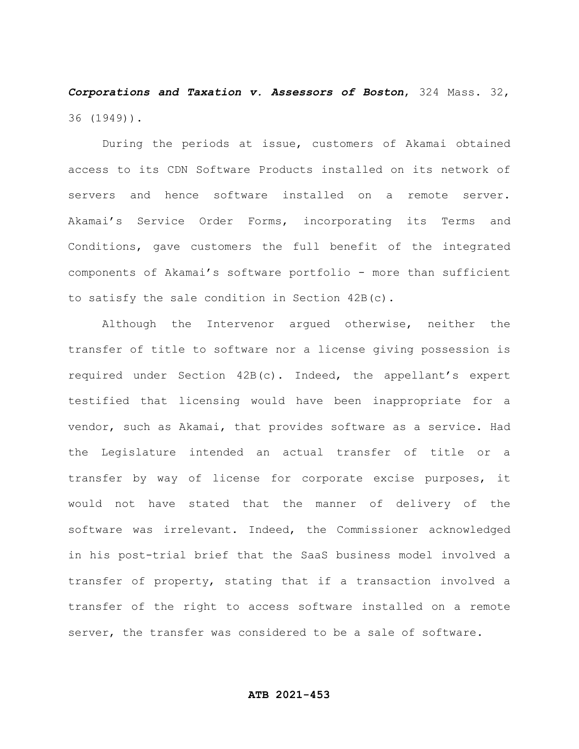*Corporations and Taxation v. Assessors of Boston*, 324 Mass. 32, 36 (1949)).

During the periods at issue, customers of Akamai obtained access to its CDN Software Products installed on its network of servers and hence software installed on a remote server. Akamai's Service Order Forms, incorporating its Terms and Conditions, gave customers the full benefit of the integrated components of Akamai's software portfolio - more than sufficient to satisfy the sale condition in Section 42B(c).

Although the Intervenor argued otherwise, neither the transfer of title to software nor a license giving possession is required under Section 42B(c). Indeed, the appellant's expert testified that licensing would have been inappropriate for a vendor, such as Akamai, that provides software as a service. Had the Legislature intended an actual transfer of title or a transfer by way of license for corporate excise purposes, it would not have stated that the manner of delivery of the software was irrelevant. Indeed, the Commissioner acknowledged in his post-trial brief that the SaaS business model involved a transfer of property, stating that if a transaction involved a transfer of the right to access software installed on a remote server, the transfer was considered to be a sale of software.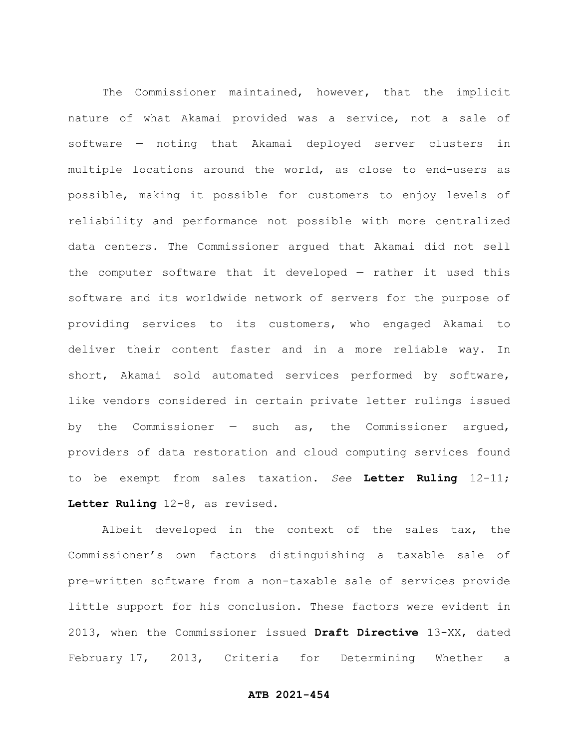The Commissioner maintained, however, that the implicit nature of what Akamai provided was a service, not a sale of software — noting that Akamai deployed server clusters in multiple locations around the world, as close to end-users as possible, making it possible for customers to enjoy levels of reliability and performance not possible with more centralized data centers. The Commissioner argued that Akamai did not sell the computer software that it developed — rather it used this software and its worldwide network of servers for the purpose of providing services to its customers, who engaged Akamai to deliver their content faster and in a more reliable way. In short, Akamai sold automated services performed by software, like vendors considered in certain private letter rulings issued by the Commissioner  $-$  such as, the Commissioner argued, providers of data restoration and cloud computing services found to be exempt from sales taxation. *See* **Letter Ruling** 12-11; **Letter Ruling** 12-8, as revised.

Albeit developed in the context of the sales tax, the Commissioner's own factors distinguishing a taxable sale of pre-written software from a non-taxable sale of services provide little support for his conclusion. These factors were evident in 2013, when the Commissioner issued **Draft Directive** 13-XX, dated February 17, 2013, Criteria for Determining Whether a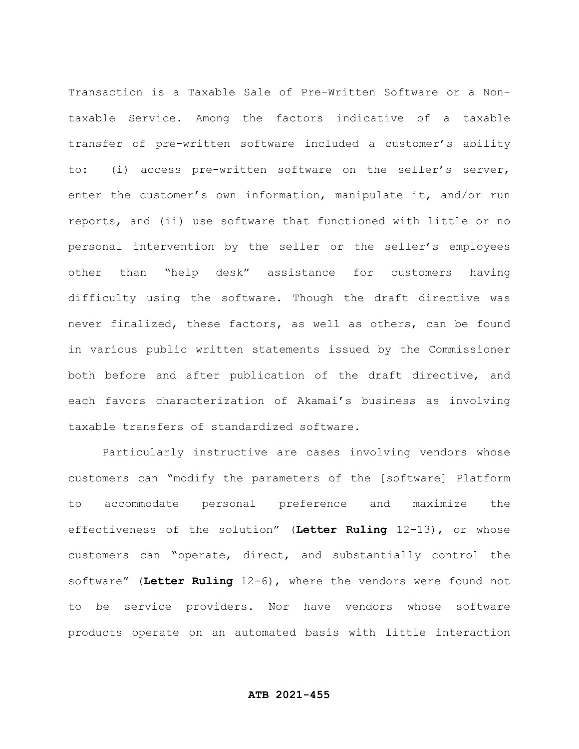Transaction is a Taxable Sale of Pre-Written Software or a Nontaxable Service. Among the factors indicative of a taxable transfer of pre-written software included a customer's ability to: (i) access pre-written software on the seller's server, enter the customer's own information, manipulate it, and/or run reports, and (ii) use software that functioned with little or no personal intervention by the seller or the seller's employees other than "help desk" assistance for customers having difficulty using the software. Though the draft directive was never finalized, these factors, as well as others, can be found in various public written statements issued by the Commissioner both before and after publication of the draft directive, and each favors characterization of Akamai's business as involving taxable transfers of standardized software.

Particularly instructive are cases involving vendors whose customers can "modify the parameters of the [software] Platform to accommodate personal preference and maximize the effectiveness of the solution" (**Letter Ruling** 12-13), or whose customers can "operate, direct, and substantially control the software" (**Letter Ruling** 12-6), where the vendors were found not to be service providers. Nor have vendors whose software products operate on an automated basis with little interaction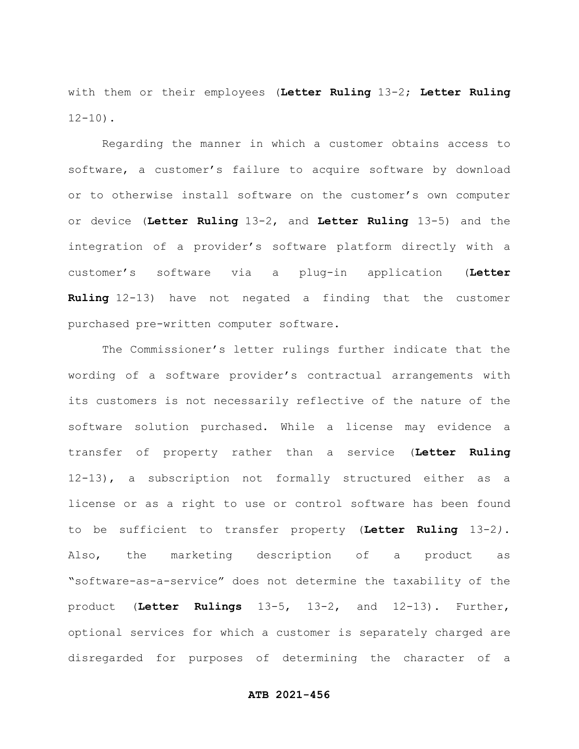with them or their employees (**Letter Ruling** 13-2; **Letter Ruling**  $12 - 10$ ).

Regarding the manner in which a customer obtains access to software, a customer's failure to acquire software by download or to otherwise install software on the customer's own computer or device (**Letter Ruling** 13-2, and **Letter Ruling** 13-5) and the integration of a provider's software platform directly with a customer's software via a plug-in application (**Letter Ruling** 12-13) have not negated a finding that the customer purchased pre-written computer software.

The Commissioner's letter rulings further indicate that the wording of a software provider's contractual arrangements with its customers is not necessarily reflective of the nature of the software solution purchased. While a license may evidence a transfer of property rather than a service (**Letter Ruling** 12-13), a subscription not formally structured either as a license or as a right to use or control software has been found to be sufficient to transfer property (**Letter Ruling** 13-2*)*. Also, the marketing description of a product as "software-as-a-service" does not determine the taxability of the product (**Letter Rulings** 13-5, 13-2, and 12-13). Further, optional services for which a customer is separately charged are disregarded for purposes of determining the character of a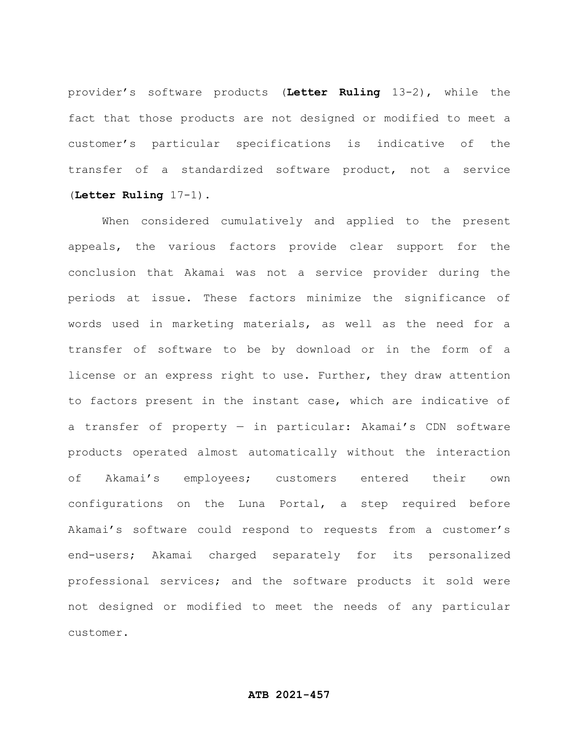provider's software products (**Letter Ruling** 13-2), while the fact that those products are not designed or modified to meet a customer's particular specifications is indicative of the transfer of a standardized software product, not a service (**Letter Ruling** 17-1).

When considered cumulatively and applied to the present appeals, the various factors provide clear support for the conclusion that Akamai was not a service provider during the periods at issue. These factors minimize the significance of words used in marketing materials, as well as the need for a transfer of software to be by download or in the form of a license or an express right to use. Further, they draw attention to factors present in the instant case, which are indicative of a transfer of property — in particular: Akamai's CDN software products operated almost automatically without the interaction of Akamai's employees; customers entered their own configurations on the Luna Portal, a step required before Akamai's software could respond to requests from a customer's end-users; Akamai charged separately for its personalized professional services; and the software products it sold were not designed or modified to meet the needs of any particular customer.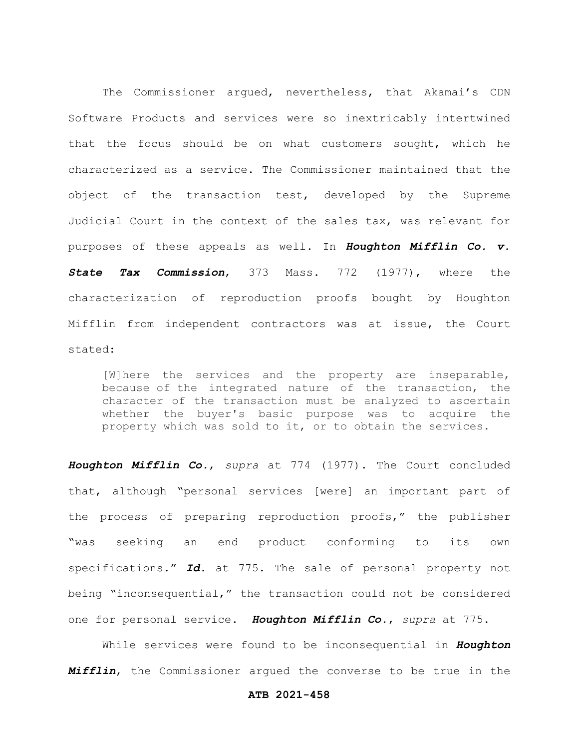The Commissioner argued, nevertheless, that Akamai's CDN Software Products and services were so inextricably intertwined that the focus should be on what customers sought, which he characterized as a service. The Commissioner maintained that the object of the transaction test, developed by the Supreme Judicial Court in the context of the sales tax, was relevant for purposes of these appeals as well. In *Houghton Mifflin Co. v. State Tax Commission*, 373 Mass. 772 (1977), where the characterization of reproduction proofs bought by Houghton Mifflin from independent contractors was at issue, the Court stated:

[W]here the services and the property are inseparable, because of the integrated nature of the transaction, the character of the transaction must be analyzed to ascertain whether the buyer's basic purpose was to acquire the property which was sold to it, or to obtain the services.

*Houghton Mifflin Co.*, *supra* at 774 (1977). The Court concluded that, although "personal services [were] an important part of the process of preparing reproduction proofs," the publisher "was seeking an end product conforming to its own specifications." *Id.* at 775. The sale of personal property not being "inconsequential," the transaction could not be considered one for personal service. *Houghton Mifflin Co.*, *supra* at 775.

While services were found to be inconsequential in *Houghton Mifflin*, the Commissioner argued the converse to be true in the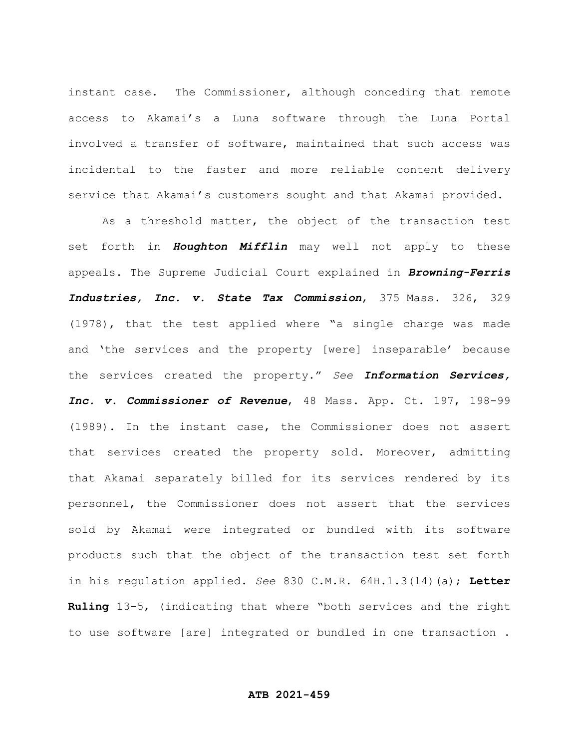instant case. The Commissioner, although conceding that remote access to Akamai's a Luna software through the Luna Portal involved a transfer of software, maintained that such access was incidental to the faster and more reliable content delivery service that Akamai's customers sought and that Akamai provided.

As a threshold matter, the object of the transaction test set forth in *Houghton Mifflin* may well not apply to these appeals. The Supreme Judicial Court explained in *Browning-Ferris Industries, Inc. v. State Tax Commission*, 375 Mass. 326, 329 (1978), that the test applied where "a single charge was made and 'the services and the property [were] inseparable' because the services created the property." *See Information Services, Inc. v. Commissioner of Revenue*, 48 Mass. App. Ct. 197, 198-99 (1989). In the instant case, the Commissioner does not assert that services created the property sold. Moreover, admitting that Akamai separately billed for its services rendered by its personnel, the Commissioner does not assert that the services sold by Akamai were integrated or bundled with its software products such that the object of the transaction test set forth in his regulation applied. *See* 830 C.M.R. 64H.1.3(14)(a); **Letter Ruling** 13-5, (indicating that where "both services and the right to use software [are] integrated or bundled in one transaction .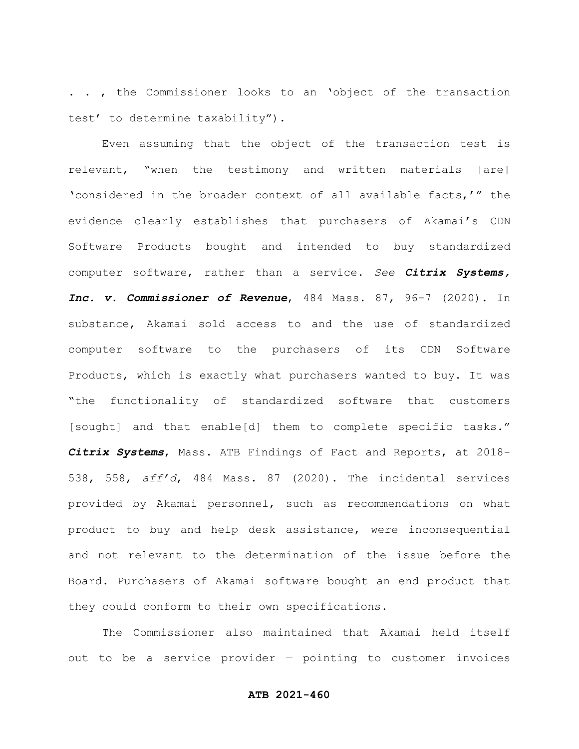. . , the Commissioner looks to an 'object of the transaction test' to determine taxability").

Even assuming that the object of the transaction test is relevant, "when the testimony and written materials [are] 'considered in the broader context of all available facts,'" the evidence clearly establishes that purchasers of Akamai's CDN Software Products bought and intended to buy standardized computer software, rather than a service. *See Citrix Systems, Inc. v. Commissioner of Revenue*, 484 Mass. 87, 96-7 (2020). In substance, Akamai sold access to and the use of standardized computer software to the purchasers of its CDN Software Products, which is exactly what purchasers wanted to buy. It was "the functionality of standardized software that customers [sought] and that enable[d] them to complete specific tasks." *Citrix Systems*, Mass. ATB Findings of Fact and Reports, at 2018- 538, 558, *aff'd*, 484 Mass. 87 (2020). The incidental services provided by Akamai personnel, such as recommendations on what product to buy and help desk assistance, were inconsequential and not relevant to the determination of the issue before the Board. Purchasers of Akamai software bought an end product that they could conform to their own specifications.

The Commissioner also maintained that Akamai held itself out to be a service provider — pointing to customer invoices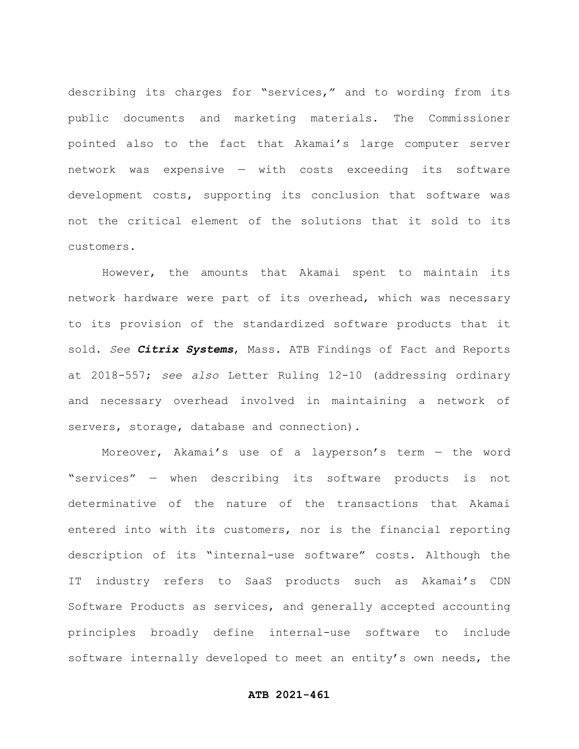describing its charges for "services," and to wording from its public documents and marketing materials. The Commissioner pointed also to the fact that Akamai's large computer server network was expensive — with costs exceeding its software development costs, supporting its conclusion that software was not the critical element of the solutions that it sold to its customers.

However, the amounts that Akamai spent to maintain its network hardware were part of its overhead, which was necessary to its provision of the standardized software products that it sold. *See Citrix Systems*, Mass. ATB Findings of Fact and Reports at 2018-557; *see also* Letter Ruling 12-10 (addressing ordinary and necessary overhead involved in maintaining a network of servers, storage, database and connection).

Moreover, Akamai's use of a layperson's term — the word "services" — when describing its software products is not determinative of the nature of the transactions that Akamai entered into with its customers, nor is the financial reporting description of its "internal-use software" costs. Although the IT industry refers to SaaS products such as Akamai's CDN Software Products as services, and generally accepted accounting principles broadly define internal-use software to include software internally developed to meet an entity's own needs, the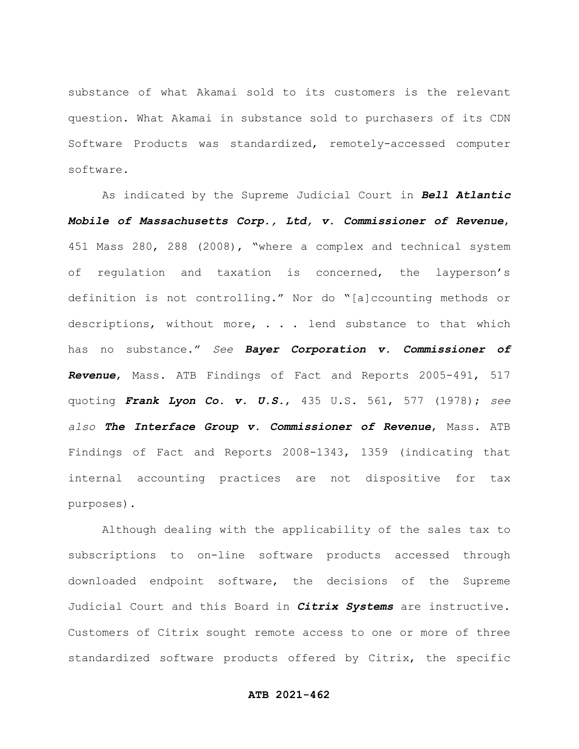substance of what Akamai sold to its customers is the relevant question. What Akamai in substance sold to purchasers of its CDN Software Products was standardized, remotely-accessed computer software.

As indicated by the Supreme Judicial Court in *Bell Atlantic Mobile of Massachusetts Corp., Ltd, v. Commissioner of Revenue*, 451 Mass 280, 288 (2008), "where a complex and technical system of regulation and taxation is concerned, the layperson's definition is not controlling." Nor do "[a]ccounting methods or descriptions, without more, . . . lend substance to that which has no substance." *See Bayer Corporation v. Commissioner of Revenue*, Mass. ATB Findings of Fact and Reports 2005-491, 517 quoting *Frank Lyon Co. v. U.S.*, 435 U.S. 561, 577 (1978); *see also The Interface Group v. Commissioner of Revenue*, Mass. ATB Findings of Fact and Reports 2008-1343, 1359 (indicating that internal accounting practices are not dispositive for tax purposes).

Although dealing with the applicability of the sales tax to subscriptions to on-line software products accessed through downloaded endpoint software, the decisions of the Supreme Judicial Court and this Board in *Citrix Systems* are instructive. Customers of Citrix sought remote access to one or more of three standardized software products offered by Citrix, the specific

### **ATB 2021-462**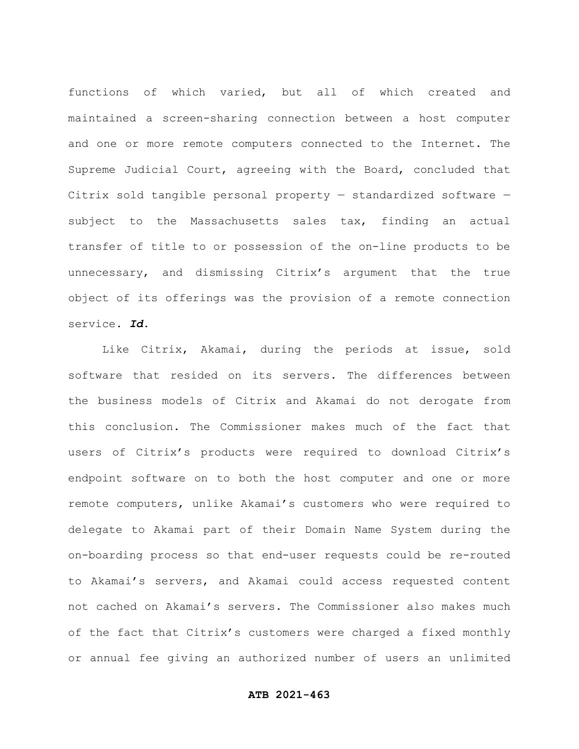functions of which varied, but all of which created and maintained a screen-sharing connection between a host computer and one or more remote computers connected to the Internet. The Supreme Judicial Court, agreeing with the Board, concluded that Citrix sold tangible personal property — standardized software subject to the Massachusetts sales tax, finding an actual transfer of title to or possession of the on-line products to be unnecessary, and dismissing Citrix's argument that the true object of its offerings was the provision of a remote connection service. *Id*.

Like Citrix, Akamai, during the periods at issue, sold software that resided on its servers. The differences between the business models of Citrix and Akamai do not derogate from this conclusion. The Commissioner makes much of the fact that users of Citrix's products were required to download Citrix's endpoint software on to both the host computer and one or more remote computers, unlike Akamai's customers who were required to delegate to Akamai part of their Domain Name System during the on-boarding process so that end-user requests could be re-routed to Akamai's servers, and Akamai could access requested content not cached on Akamai's servers. The Commissioner also makes much of the fact that Citrix's customers were charged a fixed monthly or annual fee giving an authorized number of users an unlimited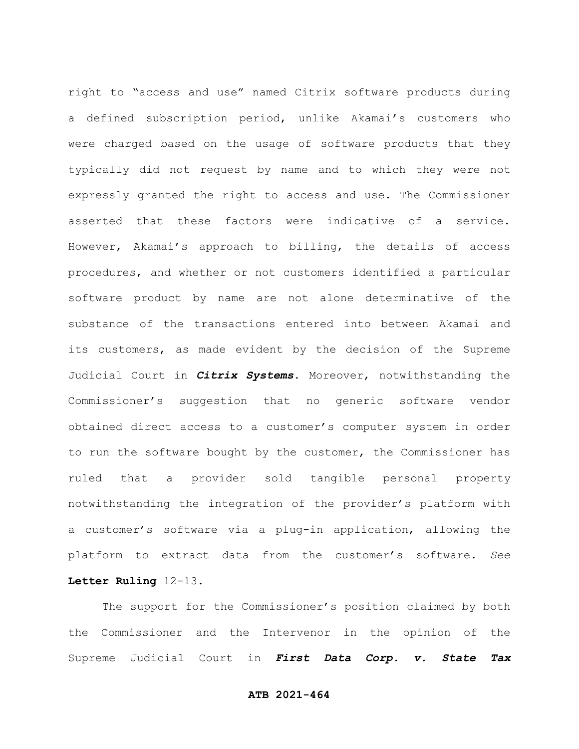right to "access and use" named Citrix software products during a defined subscription period, unlike Akamai's customers who were charged based on the usage of software products that they typically did not request by name and to which they were not expressly granted the right to access and use. The Commissioner asserted that these factors were indicative of a service. However, Akamai's approach to billing, the details of access procedures, and whether or not customers identified a particular software product by name are not alone determinative of the substance of the transactions entered into between Akamai and its customers, as made evident by the decision of the Supreme Judicial Court in *Citrix Systems*. Moreover, notwithstanding the Commissioner's suggestion that no generic software vendor obtained direct access to a customer's computer system in order to run the software bought by the customer, the Commissioner has ruled that a provider sold tangible personal property notwithstanding the integration of the provider's platform with a customer's software via a plug-in application, allowing the platform to extract data from the customer's software. *See* **Letter Ruling** 12-13.

The support for the Commissioner's position claimed by both the Commissioner and the Intervenor in the opinion of the Supreme Judicial Court in *First Data Corp. v. State Tax*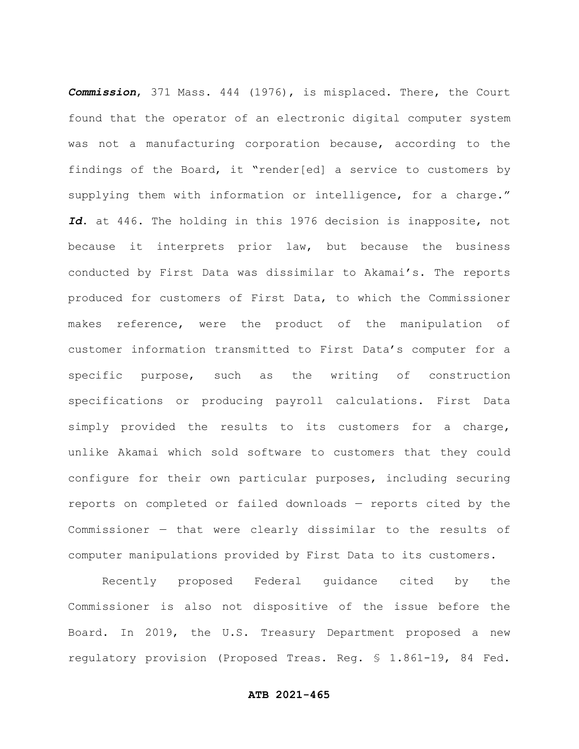*Commission*, 371 Mass. 444 (1976), is misplaced. There, the Court found that the operator of an electronic digital computer system was not a manufacturing corporation because, according to the findings of the Board, it "render[ed] a service to customers by supplying them with information or intelligence, for a charge." *Id*. at 446. The holding in this 1976 decision is inapposite, not because it interprets prior law, but because the business conducted by First Data was dissimilar to Akamai's. The reports produced for customers of First Data, to which the Commissioner makes reference, were the product of the manipulation of customer information transmitted to First Data's computer for a specific purpose, such as the writing of construction specifications or producing payroll calculations. First Data simply provided the results to its customers for a charge, unlike Akamai which sold software to customers that they could configure for their own particular purposes, including securing reports on completed or failed downloads — reports cited by the Commissioner — that were clearly dissimilar to the results of computer manipulations provided by First Data to its customers.

Recently proposed Federal guidance cited by the Commissioner is also not dispositive of the issue before the Board. In 2019, the U.S. Treasury Department proposed a new regulatory provision (Proposed Treas. Reg. § 1.861-19, 84 Fed.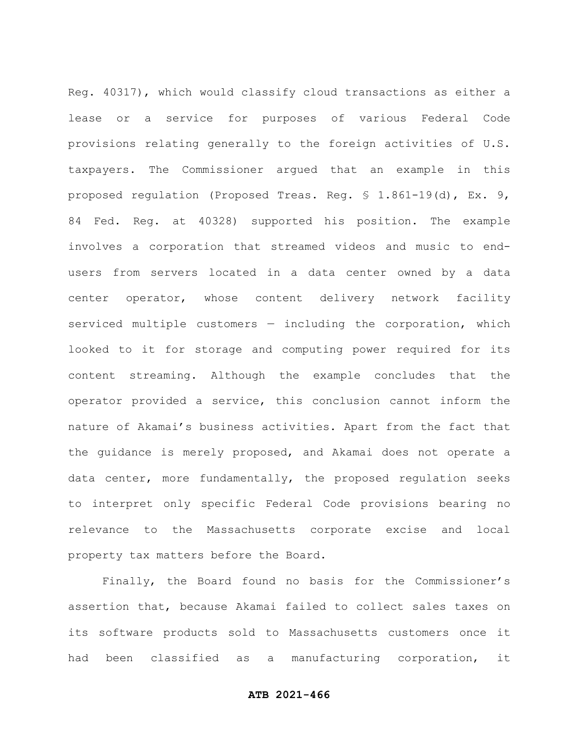Reg. 40317), which would classify cloud transactions as either a lease or a service for purposes of various Federal Code provisions relating generally to the foreign activities of U.S. taxpayers. The Commissioner argued that an example in this proposed regulation (Proposed Treas. Reg. § 1.861-19(d), Ex. 9, 84 Fed. Reg. at 40328) supported his position. The example involves a corporation that streamed videos and music to endusers from servers located in a data center owned by a data center operator, whose content delivery network facility serviced multiple customers  $-$  including the corporation, which looked to it for storage and computing power required for its content streaming. Although the example concludes that the operator provided a service, this conclusion cannot inform the nature of Akamai's business activities. Apart from the fact that the guidance is merely proposed, and Akamai does not operate a data center, more fundamentally, the proposed regulation seeks to interpret only specific Federal Code provisions bearing no relevance to the Massachusetts corporate excise and local property tax matters before the Board.

Finally, the Board found no basis for the Commissioner's assertion that, because Akamai failed to collect sales taxes on its software products sold to Massachusetts customers once it had been classified as a manufacturing corporation, it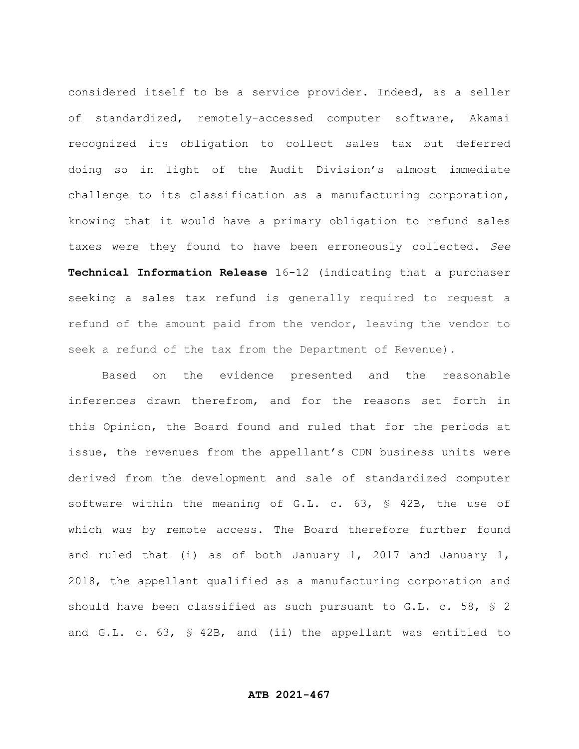considered itself to be a service provider. Indeed, as a seller of standardized, remotely-accessed computer software, Akamai recognized its obligation to collect sales tax but deferred doing so in light of the Audit Division's almost immediate challenge to its classification as a manufacturing corporation, knowing that it would have a primary obligation to refund sales taxes were they found to have been erroneously collected. *See* **Technical Information Release** 16-12 (indicating that a purchaser seeking a sales tax refund is generally required to request a refund of the amount paid from the vendor, leaving the vendor to seek a refund of the tax from the Department of Revenue).

Based on the evidence presented and the reasonable inferences drawn therefrom, and for the reasons set forth in this Opinion, the Board found and ruled that for the periods at issue, the revenues from the appellant's CDN business units were derived from the development and sale of standardized computer software within the meaning of G.L. c. 63, § 42B, the use of which was by remote access. The Board therefore further found and ruled that (i) as of both January 1, 2017 and January 1, 2018, the appellant qualified as a manufacturing corporation and should have been classified as such pursuant to G.L. c. 58, § 2 and G.L. c. 63, § 42B, and (ii) the appellant was entitled to